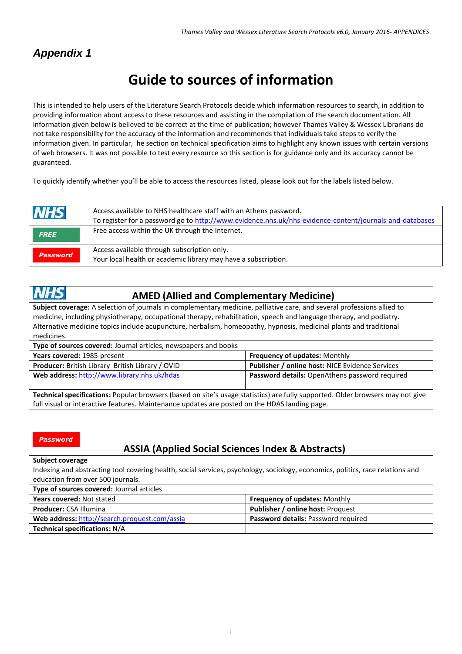# *Appendix 1*

# **Guide to sources of information**

This is intended to help users of the Literature Search Protocols decide which information resources to search, in addition to providing information about access to these resources and assisting in the compilation of the search documentation. All information given below is believed to be correct at the time of publication; however Thames Valley & Wessex Librarians do not take responsibility for the accuracy of the information and recommends that individuals take steps to verify the information given. In particular, he section on technical specification aims to highlight any known issues with certain versions of web browsers. It was not possible to test every resource so this section is for guidance only and its accuracy cannot be guaranteed.

To quickly identify whether you'll be able to access the resources listed, please look out for the labels listed below.

| <b>NHS</b>      | Access available to NHS healthcare staff with an Athens password.<br>To register for a password go to http://www.evidence.nhs.uk/nhs-evidence-content/journals-and-databases |
|-----------------|------------------------------------------------------------------------------------------------------------------------------------------------------------------------------|
| <b>FREE</b>     | Free access within the UK through the Internet.                                                                                                                              |
| <b>Password</b> | Access available through subscription only.<br>Your local health or academic library may have a subscription.                                                                |

#### VHS  **AMED (Allied and Complementary Medicine)**

**Subject coverage:** A selection of journals in complementary medicine, palliative care, and several professions allied to medicine, including physiotherapy, occupational therapy, rehabilitation, speech and language therapy, and podiatry. Alternative medicine topics include acupuncture, herbalism, homeopathy, hypnosis, medicinal plants and traditional medicines.

| Type of sources covered: Journal articles, newspapers and books                                                                |                                                        |  |
|--------------------------------------------------------------------------------------------------------------------------------|--------------------------------------------------------|--|
| Years covered: 1985-present                                                                                                    | Frequency of updates: Monthly                          |  |
| <b>Producer:</b> British Library British Library / OVID                                                                        | <b>Publisher / online host: NICE Evidence Services</b> |  |
| Web address: http://www.library.nhs.uk/hdas                                                                                    | <b>Password details:</b> OpenAthens password required  |  |
|                                                                                                                                |                                                        |  |
| Technical specifications: Popular browsers (based on site's usage statistics) are fully supported. Older browsers may not give |                                                        |  |
| full visual or interactive features. Maintenance updates are posted on the HDAS landing page.                                  |                                                        |  |

| <b>Password</b>                                                                                                                |  |  |  |
|--------------------------------------------------------------------------------------------------------------------------------|--|--|--|
| <b>ASSIA (Applied Social Sciences Index &amp; Abstracts)</b>                                                                   |  |  |  |
| Subject coverage                                                                                                               |  |  |  |
| Indexing and abstracting tool covering health, social services, psychology, sociology, economics, politics, race relations and |  |  |  |
| education from over 500 journals.                                                                                              |  |  |  |
| Type of sources covered: Journal articles                                                                                      |  |  |  |
| Frequency of updates: Monthly<br><b>Years covered: Not stated</b>                                                              |  |  |  |
| Publisher / online host: Proquest<br><b>Producer: CSA Illumina</b>                                                             |  |  |  |
| Web address: http://search.proquest.com/assia<br>Password details: Password required                                           |  |  |  |
| <b>Technical specifications: N/A</b>                                                                                           |  |  |  |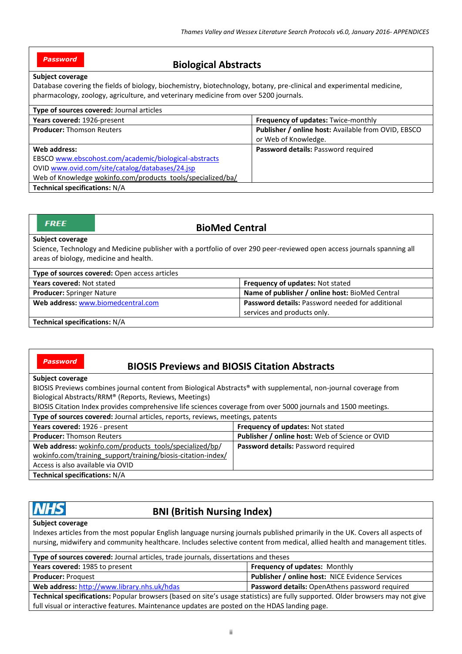## *Password*

# **Biological Abstracts**

#### **Subject coverage**

Database covering the fields of biology, biochemistry, biotechnology, botany, pre-clinical and experimental medicine, pharmacology, zoology, agriculture, and veterinary medicine from over 5200 journals.

| Type of sources covered: Journal articles                   |                                                     |  |
|-------------------------------------------------------------|-----------------------------------------------------|--|
| Years covered: 1926-present                                 | Frequency of updates: Twice-monthly                 |  |
| <b>Producer: Thomson Reuters</b>                            | Publisher / online host: Available from OVID, EBSCO |  |
|                                                             | or Web of Knowledge.                                |  |
| Web address:                                                | Password details: Password required                 |  |
| EBSCO www.ebscohost.com/academic/biological-abstracts       |                                                     |  |
| OVID www.ovid.com/site/catalog/databases/24.jsp             |                                                     |  |
| Web of Knowledge wokinfo.com/products_tools/specialized/ba/ |                                                     |  |
| <b>Technical specifications: N/A</b>                        |                                                     |  |

| <b>FREE</b><br><b>BioMed Central</b>                                                                                                                                                         |                                    |                                                         |
|----------------------------------------------------------------------------------------------------------------------------------------------------------------------------------------------|------------------------------------|---------------------------------------------------------|
| <b>Subject coverage</b><br>Science, Technology and Medicine publisher with a portfolio of over 290 peer-reviewed open access journals spanning all<br>areas of biology, medicine and health. |                                    |                                                         |
| Type of sources covered: Open access articles                                                                                                                                                |                                    |                                                         |
| Years covered: Not stated                                                                                                                                                                    |                                    | <b>Frequency of updates: Not stated</b>                 |
| <b>Producer:</b> Springer Nature                                                                                                                                                             |                                    | Name of publisher / online host: BioMed Central         |
|                                                                                                                                                                                              | Web address: www.biomedcentral.com | <b>Password details: Password needed for additional</b> |
|                                                                                                                                                                                              |                                    | services and products only.                             |

**Technical specifications:** N/A

#### *Password*

# **BIOSIS Previews and BIOSIS Citation Abstracts**

#### **Subject coverage**

BIOSIS Previews combines journal content from Biological Abstracts® with supplemental, non-journal coverage from Biological Abstracts/RRM® (Reports, Reviews, Meetings)

BIOSIS Citation Index provides comprehensive life sciences coverage from over 5000 journals and 1500 meetings.

**Type of sources covered:** Journal articles, reports, reviews, meetings, patents

| Years covered: 1926 - present                                | <b>Frequency of updates: Not stated</b>         |  |
|--------------------------------------------------------------|-------------------------------------------------|--|
| <b>Producer: Thomson Reuters</b>                             | Publisher / online host: Web of Science or OVID |  |
| Web address: wokinfo.com/products_tools/specialized/bp/      | <b>Password details: Password required</b>      |  |
| wokinfo.com/training support/training/biosis-citation-index/ |                                                 |  |
| Access is also available via OVID                            |                                                 |  |
| <b>Technical specifications: N/A</b>                         |                                                 |  |
|                                                              |                                                 |  |

# **BNI (British Nursing Index)**

full visual or interactive features. Maintenance updates are posted on the HDAS landing page.

#### **Subject coverage**

Indexes articles from the most popular English language nursing journals published primarily in the UK. Covers all aspects of nursing, midwifery and community healthcare. Includes selective content from medical, allied health and management titles.

| Type of sources covered: Journal articles, trade journals, dissertations and theses                                            |                                                        |  |
|--------------------------------------------------------------------------------------------------------------------------------|--------------------------------------------------------|--|
| Years covered: 1985 to present                                                                                                 | Frequency of updates: Monthly                          |  |
| <b>Producer: Proguest</b>                                                                                                      | <b>Publisher / online host: NICE Evidence Services</b> |  |
| Web address: http://www.library.nhs.uk/hdas<br><b>Password details:</b> OpenAthens password required                           |                                                        |  |
| Technical specifications: Popular browsers (based on site's usage statistics) are fully supported. Older browsers may not give |                                                        |  |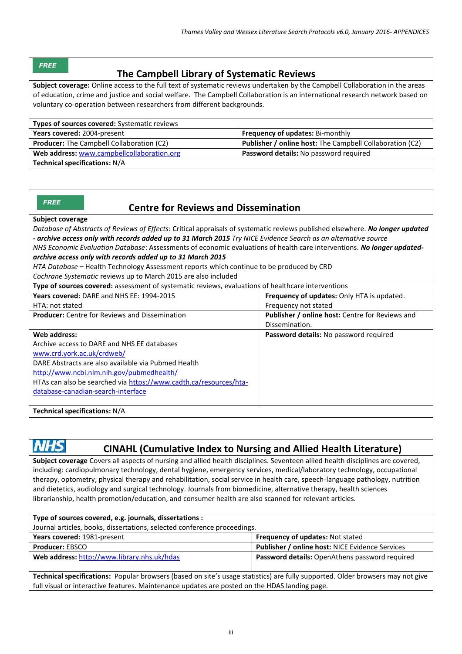#### *FREE*

# **The Campbell Library of Systematic Reviews**

**Subject coverage:** Online access to the full text of systematic reviews undertaken by the Campbell Collaboration in the areas of education, crime and justice and social welfare. The Campbell Collaboration is an international research network based on voluntary co-operation between researchers from different backgrounds.

| <b>Types of sources covered:</b> Systematic reviews |                                                                 |  |
|-----------------------------------------------------|-----------------------------------------------------------------|--|
| Years covered: 2004-present                         | <b>Frequency of updates: Bi-monthly</b>                         |  |
| <b>Producer:</b> The Campbell Collaboration (C2)    | <b>Publisher / online host:</b> The Campbell Collaboration (C2) |  |
| Web address: www.campbellcollaboration.org          | Password details: No password required                          |  |
| <b>Technical specifications: N/A</b>                |                                                                 |  |

| -13 |  |  |
|-----|--|--|
|     |  |  |

## **Centre for Reviews and Dissemination**

#### **Subject coverage**

*Database of Abstracts of Reviews of Effects*: Critical appraisals of systematic reviews published elsewhere. *No longer updated - archive access only with records added up to 31 March 2015 Try NICE Evidence Search as an alternative source*

*NHS Economic Evaluation Database*: Assessments of economic evaluations of health care interventions. *No longer updatedarchive access only with records added up to 31 March 2015*

*HTA Database* **–** Health Technology Assessment reports which continue to be produced by CRD

*Cochrane Systematic* reviews up to March 2015 are also included

| Type of sources covered: assessment of systematic reviews, evaluations of healthcare interventions |                                                 |  |
|----------------------------------------------------------------------------------------------------|-------------------------------------------------|--|
| Years covered: DARE and NHS EE: 1994-2015                                                          | Frequency of updates: Only HTA is updated.      |  |
| HTA: not stated                                                                                    | Frequency not stated                            |  |
| <b>Producer:</b> Centre for Reviews and Dissemination                                              | Publisher / online host: Centre for Reviews and |  |
|                                                                                                    | Dissemination.                                  |  |
| Web address:                                                                                       | Password details: No password required          |  |
| Archive access to DARE and NHS EE databases                                                        |                                                 |  |
| www.crd.york.ac.uk/crdweb/                                                                         |                                                 |  |
| DARE Abstracts are also available via Pubmed Health                                                |                                                 |  |
| http://www.ncbi.nlm.nih.gov/pubmedhealth/                                                          |                                                 |  |
| HTAs can also be searched via https://www.cadth.ca/resources/hta-                                  |                                                 |  |
| database-canadian-search-interface                                                                 |                                                 |  |
|                                                                                                    |                                                 |  |
| <b>Technical specifications: N/A</b>                                                               |                                                 |  |

# *NHS* CINAHL (Cumulative Index to Nursing and Allied Health Literature)

**Subject coverage** Covers all aspects of nursing and allied health disciplines. Seventeen allied health disciplines are covered, including: cardiopulmonary technology, dental hygiene, emergency services, medical/laboratory technology, occupational therapy, optometry, physical therapy and rehabilitation, social service in health care, speech-language pathology, nutrition and dietetics, audiology and surgical technology. Journals from biomedicine, alternative therapy, health sciences librarianship, health promotion/education, and consumer health are also scanned for relevant articles.

| Type of sources covered, e.g. journals, dissertations :                                                                        |                                                        |  |
|--------------------------------------------------------------------------------------------------------------------------------|--------------------------------------------------------|--|
| Journal articles, books, dissertations, selected conference proceedings.                                                       |                                                        |  |
| Years covered: 1981-present                                                                                                    | <b>Frequency of updates: Not stated</b>                |  |
| <b>Producer: EBSCO</b>                                                                                                         | <b>Publisher / online host: NICE Evidence Services</b> |  |
| Web address: http://www.library.nhs.uk/hdas                                                                                    | <b>Password details:</b> OpenAthens password required  |  |
|                                                                                                                                |                                                        |  |
| Technical specifications: Depular browsers (based on site's usege statistics) are fully supported. Older browsers may not give |                                                        |  |

**Technical specifications:** Popular browsers (based on site's usage statistics) are fully supported. Older browsers may not give full visual or interactive features. Maintenance updates are posted on the HDAS landing page.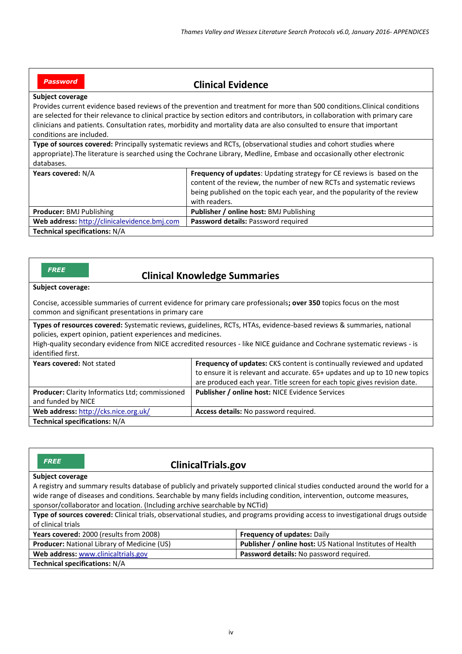## *Password*

# **Clinical Evidence**

#### **Subject coverage**

Provides current evidence based reviews of the prevention and treatment for more than 500 conditions.Clinical conditions are selected for their relevance to clinical practice by section editors and contributors, in collaboration with primary care clinicians and patients. Consultation rates, morbidity and mortality data are also consulted to ensure that important conditions are included.

**Type of sources covered:** Principally systematic reviews and RCTs, (observational studies and cohort studies where appropriate).The literature is searched using the Cochrane Library, Medline, Embase and occasionally other electronic databases.

| Years covered: N/A                           | <b>Frequency of updates:</b> Updating strategy for CE reviews is based on the |
|----------------------------------------------|-------------------------------------------------------------------------------|
|                                              | content of the review, the number of new RCTs and systematic reviews          |
|                                              | being published on the topic each year, and the popularity of the review      |
|                                              | with readers.                                                                 |
| Producer: BMJ Publishing                     | <b>Publisher / online host: BMJ Publishing</b>                                |
| Web address: http://clinicalevidence.bmj.com | Password details: Password required                                           |
| <b>Technical specifications: N/A</b>         |                                                                               |

## **Clinical Knowledge Summaries**

**Subject coverage:**

*FREE*

Concise, accessible summaries of current evidence for primary care professionals**; over 350** topics focus on the most common and significant presentations in primary care

**Types of resources covered:** Systematic reviews, guidelines, RCTs, HTAs, evidence-based reviews & summaries, national policies, expert opinion, patient experiences and medicines.

High-quality secondary evidence from NICE accredited resources - like NICE guidance and Cochrane systematic reviews - is identified first.

| Years covered: Not stated                       | Frequency of updates: CKS content is continually reviewed and updated      |
|-------------------------------------------------|----------------------------------------------------------------------------|
|                                                 | to ensure it is relevant and accurate. 65+ updates and up to 10 new topics |
|                                                 | are produced each year. Title screen for each topic gives revision date.   |
| Producer: Clarity Informatics Ltd; commissioned | <b>Publisher / online host: NICE Evidence Services</b>                     |
| and funded by NICE                              |                                                                            |
| Web address: http://cks.nice.org.uk/            | Access details: No password required.                                      |
| Technical specifications: N/A                   |                                                                            |

| <b>FREE</b><br><b>ClinicalTrials.gov</b>                                                                                        |                                                           |  |  |
|---------------------------------------------------------------------------------------------------------------------------------|-----------------------------------------------------------|--|--|
| Subject coverage                                                                                                                |                                                           |  |  |
| A registry and summary results database of publicly and privately supported clinical studies conducted around the world for a   |                                                           |  |  |
| wide range of diseases and conditions. Searchable by many fields including condition, intervention, outcome measures,           |                                                           |  |  |
| sponsor/collaborator and location. (Including archive searchable by NCTid)                                                      |                                                           |  |  |
| Type of sources covered: Clinical trials, observational studies, and programs providing access to investigational drugs outside |                                                           |  |  |
| of clinical trials                                                                                                              |                                                           |  |  |
| Years covered: 2000 (results from 2008)                                                                                         | Frequency of updates: Daily                               |  |  |
| Producer: National Library of Medicine (US)                                                                                     | Publisher / online host: US National Institutes of Health |  |  |
| Web address: www.clinicaltrials.gov                                                                                             | Password details: No password required.                   |  |  |
| <b>Technical specifications: N/A</b>                                                                                            |                                                           |  |  |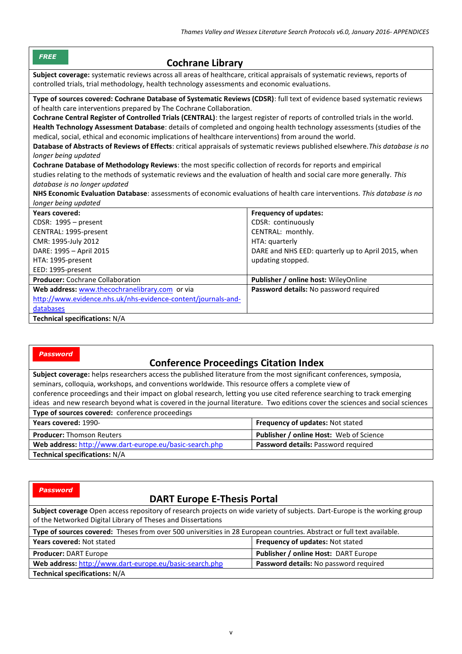| <b>FREE</b><br><b>Cochrane Library</b>                                                                                                                                                                                                                                                                                                                                                                                                                                                                                                                                                                                                                                                                                                                                                                                                                                                                                                                                                                                                                                                                                                                      |                                                                                                                                                                                                                             |  |  |  |
|-------------------------------------------------------------------------------------------------------------------------------------------------------------------------------------------------------------------------------------------------------------------------------------------------------------------------------------------------------------------------------------------------------------------------------------------------------------------------------------------------------------------------------------------------------------------------------------------------------------------------------------------------------------------------------------------------------------------------------------------------------------------------------------------------------------------------------------------------------------------------------------------------------------------------------------------------------------------------------------------------------------------------------------------------------------------------------------------------------------------------------------------------------------|-----------------------------------------------------------------------------------------------------------------------------------------------------------------------------------------------------------------------------|--|--|--|
|                                                                                                                                                                                                                                                                                                                                                                                                                                                                                                                                                                                                                                                                                                                                                                                                                                                                                                                                                                                                                                                                                                                                                             | Subject coverage: systematic reviews across all areas of healthcare, critical appraisals of systematic reviews, reports of<br>controlled trials, trial methodology, health technology assessments and economic evaluations. |  |  |  |
| Type of sources covered: Cochrane Database of Systematic Reviews (CDSR): full text of evidence based systematic reviews<br>of health care interventions prepared by The Cochrane Collaboration.<br>Cochrane Central Register of Controlled Trials (CENTRAL): the largest register of reports of controlled trials in the world.<br>Health Technology Assessment Database: details of completed and ongoing health technology assessments (studies of the<br>medical, social, ethical and economic implications of healthcare interventions) from around the world.<br>Database of Abstracts of Reviews of Effects: critical appraisals of systematic reviews published elsewhere. This database is no<br>longer being updated<br>Cochrane Database of Methodology Reviews: the most specific collection of records for reports and empirical<br>studies relating to the methods of systematic reviews and the evaluation of health and social care more generally. This<br>database is no longer updated<br>NHS Economic Evaluation Database: assessments of economic evaluations of health care interventions. This database is no<br>longer being updated |                                                                                                                                                                                                                             |  |  |  |
| <b>Years covered:</b>                                                                                                                                                                                                                                                                                                                                                                                                                                                                                                                                                                                                                                                                                                                                                                                                                                                                                                                                                                                                                                                                                                                                       | <b>Frequency of updates:</b>                                                                                                                                                                                                |  |  |  |
| CDSR: 1995 - present                                                                                                                                                                                                                                                                                                                                                                                                                                                                                                                                                                                                                                                                                                                                                                                                                                                                                                                                                                                                                                                                                                                                        | CDSR: continuously                                                                                                                                                                                                          |  |  |  |
| CENTRAL: 1995-present<br>CMR: 1995-July 2012                                                                                                                                                                                                                                                                                                                                                                                                                                                                                                                                                                                                                                                                                                                                                                                                                                                                                                                                                                                                                                                                                                                | CENTRAL: monthly.<br>HTA: quarterly                                                                                                                                                                                         |  |  |  |
| DARE: 1995 - April 2015                                                                                                                                                                                                                                                                                                                                                                                                                                                                                                                                                                                                                                                                                                                                                                                                                                                                                                                                                                                                                                                                                                                                     | DARE and NHS EED: quarterly up to April 2015, when                                                                                                                                                                          |  |  |  |
| HTA: 1995-present                                                                                                                                                                                                                                                                                                                                                                                                                                                                                                                                                                                                                                                                                                                                                                                                                                                                                                                                                                                                                                                                                                                                           | updating stopped.                                                                                                                                                                                                           |  |  |  |
| EED: 1995-present                                                                                                                                                                                                                                                                                                                                                                                                                                                                                                                                                                                                                                                                                                                                                                                                                                                                                                                                                                                                                                                                                                                                           |                                                                                                                                                                                                                             |  |  |  |
| <b>Producer:</b> Cochrane Collaboration                                                                                                                                                                                                                                                                                                                                                                                                                                                                                                                                                                                                                                                                                                                                                                                                                                                                                                                                                                                                                                                                                                                     | Publisher / online host: WileyOnline                                                                                                                                                                                        |  |  |  |
| Web address: www.thecochranelibrary.com or via                                                                                                                                                                                                                                                                                                                                                                                                                                                                                                                                                                                                                                                                                                                                                                                                                                                                                                                                                                                                                                                                                                              | Password details: No password required                                                                                                                                                                                      |  |  |  |
| http://www.evidence.nhs.uk/nhs-evidence-content/journals-and-                                                                                                                                                                                                                                                                                                                                                                                                                                                                                                                                                                                                                                                                                                                                                                                                                                                                                                                                                                                                                                                                                               |                                                                                                                                                                                                                             |  |  |  |
| databases                                                                                                                                                                                                                                                                                                                                                                                                                                                                                                                                                                                                                                                                                                                                                                                                                                                                                                                                                                                                                                                                                                                                                   |                                                                                                                                                                                                                             |  |  |  |
| Technical specifications: N/A                                                                                                                                                                                                                                                                                                                                                                                                                                                                                                                                                                                                                                                                                                                                                                                                                                                                                                                                                                                                                                                                                                                               |                                                                                                                                                                                                                             |  |  |  |

#### *Password*

# **Conference Proceedings Citation Index**

**Subject coverage:** helps researchers access the published literature from the most significant conferences, symposia, seminars, colloquia, workshops, and conventions worldwide. This resource offers a complete view of conference proceedings and their impact on global research, letting you use cited reference searching to track emerging ideas and new research beyond what is covered in the journal literature. Two editions cover the sciences and social sciences **Type of sources covered:** conference proceedings **Years covered:** 1990- **Frequency of updates:** Not stated

| <b>Producer:</b> Thomson Reuters                               | <b>Publisher / online Host: Web of Science</b> |
|----------------------------------------------------------------|------------------------------------------------|
| <b>Web address:</b> http://www.dart-europe.eu/basic-search.php | <b>Password details: Password required</b>     |
| <b>Technical specifications: N/A</b>                           |                                                |

#### *Password*

# **DART Europe E-Thesis Portal**

**Subject coverage** Open access repository of research projects on wide variety of subjects. Dart-Europe is the working group of the Networked Digital Library of Theses and Dissertations **Type of sources covered:** Theses from over 500 universities in 28 European countries. Abstract or full text available. **Years covered:** Not stated **Frequency of updates:** Not stated **Producer:** DART Europe **Publisher / online Host:** DART Europe **Web address:** <http://www.dart-europe.eu/basic-search.php> **Password details:** No password required **Technical specifications:** N/A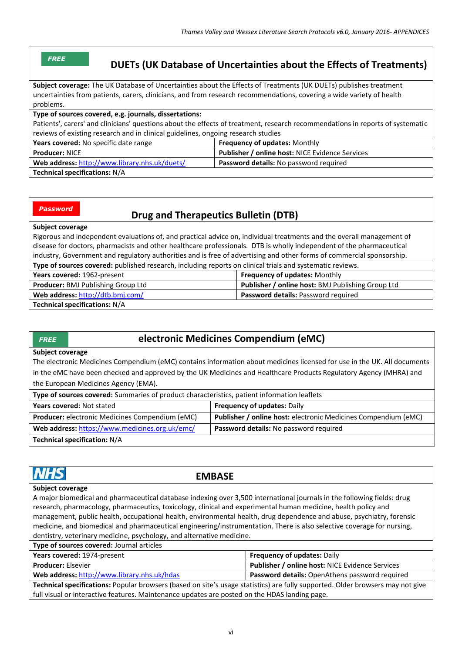| ા |  |  |
|---|--|--|
|   |  |  |

# **DUETs (UK Database of Uncertainties about the Effects of Treatments)**

**Subject coverage:** The UK Database of Uncertainties about the Effects of Treatments (UK DUETs) publishes treatment uncertainties from patients, carers, clinicians, and from research recommendations, covering a wide variety of health problems.

**Type of sources covered, e.g. journals, dissertations:**

Patients', carers' and clinicians' questions about the effects of treatment, research recommendations in reports of systematic reviews of existing research and in clinical guidelines, ongoing research studies

| <b>Years covered:</b> No specific date range  | <b>Frequency of updates: Monthly</b>                   |
|-----------------------------------------------|--------------------------------------------------------|
| <b>Producer: NICE</b>                         | <b>Publisher / online host: NICE Evidence Services</b> |
| Web address: http://www.library.nhs.uk/duets/ | <b>Password details:</b> No password required          |
| <b>Technical specifications: N/A</b>          |                                                        |

*Password*

# **Drug and Therapeutics Bulletin (DTB)**

#### **Subject coverage**

Rigorous and independent evaluations of, and practical advice on, individual treatments and the overall management of disease for doctors, pharmacists and other healthcare professionals. DTB is wholly independent of the pharmaceutical industry, Government and regulatory authorities and is free of advertising and other forms of commercial sponsorship.

| Type of sources covered: published research, including reports on clinical trials and systematic reviews. |                                                          |  |
|-----------------------------------------------------------------------------------------------------------|----------------------------------------------------------|--|
| Years covered: 1962-present                                                                               | <b>Frequency of updates: Monthly</b>                     |  |
| <b>Producer: BMJ Publishing Group Ltd</b>                                                                 | <b>Publisher / online host: BMJ Publishing Group Ltd</b> |  |
| Web address: http://dtb.bmj.com/                                                                          | Password details: Password required                      |  |
| Technical specifications: $N/\Delta$                                                                      |                                                          |  |

#### **Technical specifications:** N/A

# **electronic Medicines Compendium (eMC)**

#### **Subject coverage**

*FREE*

The electronic Medicines Compendium (eMC) contains information about medicines licensed for use in the UK. All documents in the eMC have been checked and approved by the UK Medicines and Healthcare Products Regulatory Agency (MHRA) and the European Medicines Agency (EMA).

| Type of sources covered: Summaries of product characteristics, patient information leaflets |                                                                       |  |
|---------------------------------------------------------------------------------------------|-----------------------------------------------------------------------|--|
| <b>Years covered: Not stated</b>                                                            | <b>Frequency of updates: Daily</b>                                    |  |
| Producer: electronic Medicines Compendium (eMC)                                             | <b>Publisher / online host:</b> electronic Medicines Compendium (eMC) |  |
| Web address: https://www.medicines.org.uk/emc/                                              | <b>Password details:</b> No password required                         |  |
| <b>Technical specification: N/A</b>                                                         |                                                                       |  |

| <b>EMBASE</b>                                                                                                                  |                                                        |  |
|--------------------------------------------------------------------------------------------------------------------------------|--------------------------------------------------------|--|
| Subject coverage                                                                                                               |                                                        |  |
| A major biomedical and pharmaceutical database indexing over 3,500 international journals in the following fields: drug        |                                                        |  |
| research, pharmacology, pharmaceutics, toxicology, clinical and experimental human medicine, health policy and                 |                                                        |  |
| management, public health, occupational health, environmental health, drug dependence and abuse, psychiatry, forensic          |                                                        |  |
| medicine, and biomedical and pharmaceutical engineering/instrumentation. There is also selective coverage for nursing,         |                                                        |  |
| dentistry, veterinary medicine, psychology, and alternative medicine.                                                          |                                                        |  |
| Type of sources covered: Journal articles                                                                                      |                                                        |  |
| Years covered: 1974-present                                                                                                    | <b>Frequency of updates: Daily</b>                     |  |
| <b>Producer: Elsevier</b>                                                                                                      | <b>Publisher / online host: NICE Evidence Services</b> |  |
| Web address: http://www.library.nhs.uk/hdas                                                                                    | Password details: OpenAthens password required         |  |
| Technical specifications: Popular browsers (based on site's usage statistics) are fully supported. Older browsers may not give |                                                        |  |
| full visual or interactive features. Maintenance updates are posted on the HDAS landing page.                                  |                                                        |  |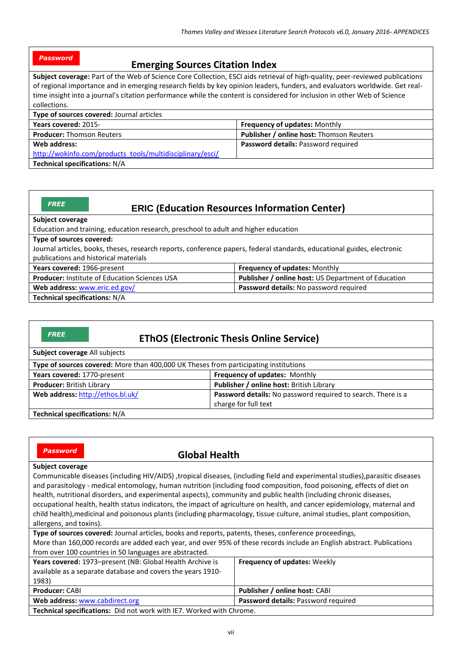| <b>Password</b> | <b>Emerging Sources Citation Index</b> |
|-----------------|----------------------------------------|
|                 |                                        |

**Subject coverage:** Part of the Web of Science Core Collection, ESCI aids retrieval of high-quality, peer-reviewed publications of regional importance and in emerging research fields by key opinion leaders, funders, and evaluators worldwide. Get realtime insight into a journal's citation performance while the content is considered for inclusion in other Web of Science collections.

| Type of sources covered: Journal articles                 |                                                 |
|-----------------------------------------------------------|-------------------------------------------------|
| Years covered: 2015-                                      | <b>Frequency of updates: Monthly</b>            |
| <b>Producer: Thomson Reuters</b>                          | <b>Publisher / online host:</b> Thomson Reuters |
| Web address:                                              | <b>Password details: Password required</b>      |
| http://wokinfo.com/products_tools/multidisciplinary/esci/ |                                                 |
| Technical specifications: N/A                             |                                                 |

| FREI |  |
|------|--|

# **ERIC (Education Resources Information Center)**

#### **Subject coverage**

Education and training, education research, preschool to adult and higher education

#### **Type of sources covered:**

Journal articles, books, theses, research reports, conference papers, federal standards, educational guides, electronic publications and historical materials

| Years covered: 1966-present                          | Frequency of updates: Monthly                              |
|------------------------------------------------------|------------------------------------------------------------|
| <b>Producer:</b> Institute of Education Sciences USA | <b>Publisher / online host: US Department of Education</b> |
| Web address: www.eric.ed.gov/                        | <b>Password details:</b> No password required              |
| <b>Technical specifications: N/A</b>                 |                                                            |

*FREE*

# **EThOS (Electronic Thesis Online Service)**

| Subject coverage All subjects                                                        |                                                              |
|--------------------------------------------------------------------------------------|--------------------------------------------------------------|
| Type of sources covered: More than 400,000 UK Theses from participating institutions |                                                              |
| Years covered: 1770-present                                                          | Frequency of updates: Monthly                                |
| <b>Producer: British Library</b>                                                     | Publisher / online host: British Library                     |
| Web address: http://ethos.bl.uk/                                                     | Password details: No password required to search. There is a |
|                                                                                      | charge for full text                                         |
| <b>Technical specifications: N/A</b>                                                 |                                                              |

*Password*

### **Global Health**

#### **Subject coverage**

Communicable diseases (including HIV/AIDS) ,tropical diseases, (including field and experimental studies),parasitic diseases and parasitology - medical entomology, human nutrition (including food composition, food poisoning, effects of diet on health, nutritional disorders, and experimental aspects), community and public health (including chronic diseases, occupational health, health status indicators, the impact of agriculture on health, and cancer epidemiology, maternal and child health),medicinal and poisonous plants (including pharmacology, tissue culture, animal studies, plant composition, allergens, and toxins).

**Type of sources covered:** Journal articles, books and reports, patents, theses, conference proceedings,

More than 160,000 records are added each year, and over 95% of these records include an English abstract. Publications from over 100 countries in 50 languages are abstracted.

| Years covered: 1973-present (NB: Global Health Archive is<br>available as a separate database and covers the years 1910-<br>1983) | <b>Frequency of updates: Weekly</b>        |
|-----------------------------------------------------------------------------------------------------------------------------------|--------------------------------------------|
| <b>Producer: CABI</b>                                                                                                             | Publisher / online host: CABI              |
| Web address: www.cabdirect.org                                                                                                    | <b>Password details: Password required</b> |
| Technical specifications: Did not work with IE7. Worked with Chrome.                                                              |                                            |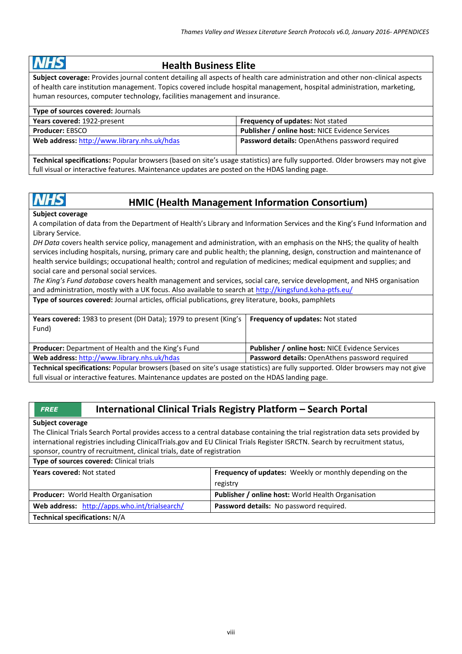# HS

# **Health Business Elite**

**Subject coverage:** Provides journal content detailing all aspects of health care administration and other non-clinical aspects of health care institution management. Topics covered include hospital management, hospital administration, marketing, human resources, computer technology, facilities management and insurance.

| Type of sources covered: Journals           |                                                        |
|---------------------------------------------|--------------------------------------------------------|
| Years covered: 1922-present                 | <b>Frequency of updates: Not stated</b>                |
| <b>Producer: EBSCO</b>                      | <b>Publisher / online host: NICE Evidence Services</b> |
| Web address: http://www.library.nhs.uk/hdas | Password details: OpenAthens password required         |

**Technical specifications:** Popular browsers (based on site's usage statistics) are fully supported. Older browsers may not give full visual or interactive features. Maintenance updates are posted on the HDAS landing page.

# **HMIC (Health Management Information Consortium)**

**Subject coverage**

**NHS** 

A compilation of data from the Department of Health's Library and Information Services and the King's Fund Information and Library Service.

*DH Data* covers health service policy, management and administration, with an emphasis on the NHS; the quality of health services including hospitals, nursing, primary care and public health; the planning, design, construction and maintenance of health service buildings; occupational health; control and regulation of medicines; medical equipment and supplies; and social care and personal social services.

*The King's Fund database* covers health management and services, social care, service development, and NHS organisation and administration, mostly with a UK focus. Also available to search at<http://kingsfund.koha-ptfs.eu/>

**Type of sources covered:** Journal articles, official publications, grey literature, books, pamphlets

| <b>Years covered:</b> 1983 to present (DH Data); 1979 to present (King's  <br>Fund)                                                   | <b>Frequency of updates: Not stated</b>                |
|---------------------------------------------------------------------------------------------------------------------------------------|--------------------------------------------------------|
| <b>Producer:</b> Department of Health and the King's Fund                                                                             | <b>Publisher / online host: NICE Evidence Services</b> |
| Web address: http://www.library.nhs.uk/hdas                                                                                           | <b>Password details:</b> OpenAthens password required  |
| <b>Technical specifications:</b> Popular browsers (based on site's usage statistics) are fully supported. Older browsers may not give |                                                        |

**Technical specifications:** Popular browsers (based on site's usage statistics) are fully supported. Older browsers may not give full visual or interactive features. Maintenance updates are posted on the HDAS landing page.

# **International Clinical Trials Registry Platform – Search Portal**

#### **Subject coverage**

*FREE*

**Type of sources covered:** Clinical trials

The Clinical Trials Search Portal provides access to a central database containing the trial registration data sets provided by international registries including ClinicalTrials.gov and EU Clinical Trials Register ISRCTN. Search by recruitment status, sponsor, country of recruitment, clinical trials, date of registration

| Type of sources covered: Clinical trials      |                                                                 |
|-----------------------------------------------|-----------------------------------------------------------------|
| <b>Years covered: Not stated</b>              | <b>Frequency of updates:</b> Weekly or monthly depending on the |
|                                               | registry                                                        |
| Producer: World Health Organisation           | Publisher / online host: World Health Organisation              |
| Web address: http://apps.who.int/trialsearch/ | Password details: No password required.                         |
| <b>Technical specifications: N/A</b>          |                                                                 |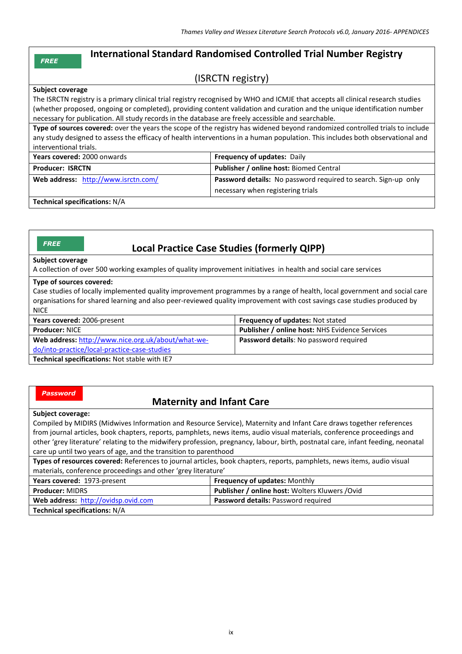# **International Standard Randomised Controlled Trial Number Registry**

# (ISRCTN registry)

#### **Subject coverage**

*FREE*

The ISRCTN registry is a primary clinical trial registry recognised by WHO and ICMJE that accepts all clinical research studies (whether proposed, ongoing or completed), providing content validation and curation and the unique identification number necessary for publication. All study records in the database are freely accessible and searchable.

**Type of sources covered:** over the years the scope of the registry has widened beyond randomized controlled trials to include any study designed to assess the efficacy of health interventions in a human population. This includes both observational and interventional trials.

| Years covered: 2000 onwards         | <b>Frequency of updates: Daily</b>                             |
|-------------------------------------|----------------------------------------------------------------|
| <b>Producer: ISRCTN</b>             | <b>Publisher / online host: Biomed Central</b>                 |
| Web address: http://www.isrctn.com/ | Password details: No password required to search. Sign-up only |
|                                     | necessary when registering trials                              |
|                                     |                                                                |

**Technical specifications:** N/A

# **Local Practice Case Studies (formerly QIPP)**

#### **Subject coverage**

*FREE*

A collection of over 500 working examples of quality improvement initiatives in health and social care services

#### **Type of sources covered:**

Case studies of locally implemented quality improvement programmes by a range of health, local government and social care organisations for shared learning and also peer-reviewed quality improvement with cost savings case studies produced by NICE

| Years covered: 2006-present                        | <b>Frequency of updates: Not stated</b>               |
|----------------------------------------------------|-------------------------------------------------------|
| <b>Producer: NICE</b>                              | <b>Publisher / online host: NHS Evidence Services</b> |
| Web address: http://www.nice.org.uk/about/what-we- | Password details: No password required                |
| do/into-practice/local-practice-case-studies       |                                                       |
| Technical specifications: Not stable with IE7      |                                                       |

#### *Password*

# **Maternity and Infant Care**

#### **Subject coverage:**

Compiled by MIDIRS (Midwives Information and Resource Service), Maternity and Infant Care draws together references from journal articles, book chapters, reports, pamphlets, news items, audio visual materials, conference proceedings and other 'grey literature' relating to the midwifery profession, pregnancy, labour, birth, postnatal care, infant feeding, neonatal care up until two years of age, and the transition to parenthood

**Types of resources covered:** References to journal articles, book chapters, reports, pamphlets, news items, audio visual materials, conference proceedings and other 'grey literature'

| Years covered: 1973-present          | <b>Frequency of updates: Monthly</b>                   |
|--------------------------------------|--------------------------------------------------------|
| <b>Producer: MIDRS</b>               | <b>Publisher / online host: Wolters Kluwers / Ovid</b> |
| Web address: http://ovidsp.ovid.com  | <b>Password details: Password required</b>             |
| <b>Technical specifications: N/A</b> |                                                        |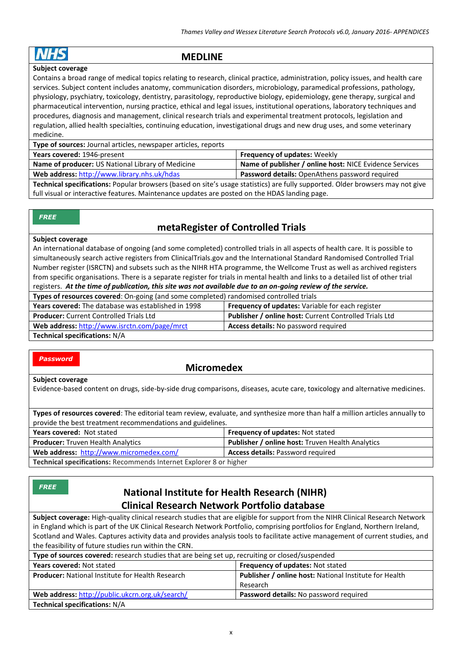# **MEDLINE**

#### **Subject coverage**

Contains a broad range of medical topics relating to research, clinical practice, administration, policy issues, and health care services. Subject content includes anatomy, communication disorders, microbiology, paramedical professions, pathology, physiology, psychiatry, toxicology, dentistry, parasitology, reproductive biology, epidemiology, gene therapy, surgical and pharmaceutical intervention, nursing practice, ethical and legal issues, institutional operations, laboratory techniques and procedures, diagnosis and management, clinical research trials and experimental treatment protocols, legislation and regulation, allied health specialties, continuing education, investigational drugs and new drug uses, and some veterinary medicine.

| Type of sources: Journal articles, newspaper articles, reports                                                                 |                                                         |
|--------------------------------------------------------------------------------------------------------------------------------|---------------------------------------------------------|
| Years covered: 1946-present                                                                                                    | <b>Frequency of updates: Weekly</b>                     |
| Name of producer: US National Library of Medicine                                                                              | Name of publisher / online host: NICE Evidence Services |
| Web address: http://www.library.nhs.uk/hdas                                                                                    | Password details: OpenAthens password required          |
| Technical specifications: Popular browsers (based on site's usage statistics) are fully supported. Older browsers may not give |                                                         |
| full visual or interactive features. Maintenance updates are posted on the HDAS landing page.                                  |                                                         |

*FREE*

# **metaRegister of Controlled Trials**

#### **Subject coverage**

An international database of ongoing (and some completed) controlled trials in all aspects of health care. It is possible to simultaneously search active registers from ClinicalTrials.gov and the International Standard Randomised Controlled Trial Number register (ISRCTN) and subsets such as the NIHR HTA programme, the Wellcome Trust as well as archived registers from specific organisations. There is a separate register for trials in mental health and links to a detailed list of other trial registers. *At the time of publication, this site was not available due to an on-going review of the service.*

| Types of resources covered: On-going (and some completed) randomised controlled trials |                                                        |
|----------------------------------------------------------------------------------------|--------------------------------------------------------|
| Years covered: The database was established in 1998                                    | Frequency of updates: Variable for each register       |
| <b>Producer:</b> Current Controlled Trials Ltd                                         | Publisher / online host: Current Controlled Trials Ltd |
| Web address: http://www.isrctn.com/page/mrct                                           | <b>Access details:</b> No password required            |
| <b>Technical specifications: N/A</b>                                                   |                                                        |

#### *Password*

### **Micromedex**

#### **Subject coverage**

Evidence-based content on drugs, side-by-side drug comparisons, diseases, acute care, toxicology and alternative medicines.

**Types of resources covered**: The editorial team review, evaluate, and synthesize more than half a million articles annually to provide the best treatment recommendations and guidelines. **Years covered:** Not stated **Frequency of updates:** Not stated

|                                                                           | <b>Tregactivy of apaates:</b> Not stated                |
|---------------------------------------------------------------------------|---------------------------------------------------------|
| <b>Producer:</b> Truven Health Analytics                                  | <b>Publisher / online host: Truven Health Analytics</b> |
| Web address: http://www.micromedex.com/                                   | <b>Access details: Password required</b>                |
| <b>Technical specifications:</b> Recommends Internet Explorer 8 or higher |                                                         |

**Technical specifications:** Recommends Internet Explorer 8 or higher

*FREE*

# **National Institute for Health Research (NIHR) Clinical Research Network Portfolio database**

**Subject coverage:** High-quality clinical research studies that are eligible for support from the NIHR Clinical Research Network in England which is part of the UK Clinical Research Network Portfolio, comprising portfolios for England, Northern Ireland, Scotland and Wales. Captures activity data and provides analysis tools to facilitate active management of current studies, and the feasibility of future studies run within the CRN.

| <b>Type of sources covered:</b> research studies that are being set up, recruiting or closed/suspended |                                                               |  |
|--------------------------------------------------------------------------------------------------------|---------------------------------------------------------------|--|
| Years covered: Not stated                                                                              | Frequency of updates: Not stated                              |  |
| <b>Producer:</b> National Institute for Health Research                                                | <b>Publisher / online host: National Institute for Health</b> |  |
|                                                                                                        | Research                                                      |  |
| Web address: http://public.ukcrn.org.uk/search/                                                        | Password details: No password required                        |  |
| <b>Technical specifications: N/A</b>                                                                   |                                                               |  |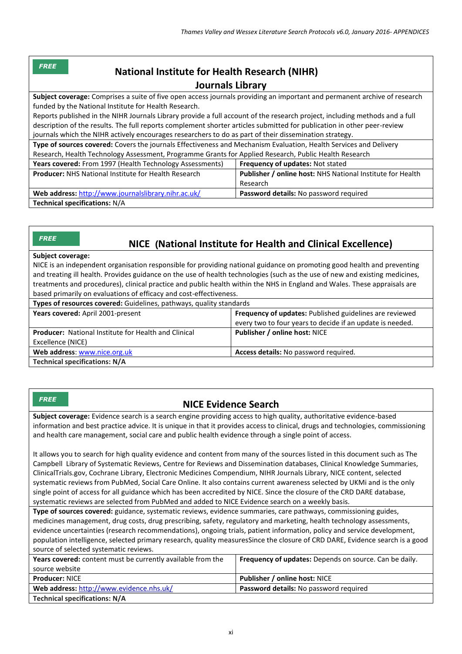| <b>FREE</b><br><b>National Institute for Health Research (NIHR)</b>                                                         |                                                                   |  |
|-----------------------------------------------------------------------------------------------------------------------------|-------------------------------------------------------------------|--|
| Journals Library                                                                                                            |                                                                   |  |
| Subject coverage: Comprises a suite of five open access journals providing an important and permanent archive of research   |                                                                   |  |
| funded by the National Institute for Health Research.                                                                       |                                                                   |  |
| Reports published in the NIHR Journals Library provide a full account of the research project, including methods and a full |                                                                   |  |
| description of the results. The full reports complement shorter articles submitted for publication in other peer-review     |                                                                   |  |
| journals which the NIHR actively encourages researchers to do as part of their dissemination strategy.                      |                                                                   |  |
| Type of sources covered: Covers the journals Effectiveness and Mechanism Evaluation, Health Services and Delivery           |                                                                   |  |
| Research, Health Technology Assessment, Programme Grants for Applied Research, Public Health Research                       |                                                                   |  |
| <b>Years covered:</b> From 1997 (Health Technology Assessments)                                                             | Frequency of updates: Not stated                                  |  |
| <b>Producer:</b> NHS National Institute for Health Research                                                                 | <b>Publisher / online host: NHS National Institute for Health</b> |  |
|                                                                                                                             | Research                                                          |  |
| Web address: http://www.journalslibrary.nihr.ac.uk/                                                                         | Password details: No password required                            |  |
| <b>Technical specifications: N/A</b>                                                                                        |                                                                   |  |

#### **NICE (National Institute for Health and Clinical Excellence)** *FREE*

#### **Subject coverage:**

NICE is an independent organisation responsible for providing national guidance on promoting good health and preventing and treating ill health. Provides guidance on the use of health technologies (such as the use of new and existing medicines, treatments and procedures), clinical practice and public health within the NHS in England and Wales. These appraisals are based primarily on evaluations of efficacy and cost-effectiveness.

| <b>Types of resources covered:</b> Guidelines, pathways, quality standards |                                                           |  |
|----------------------------------------------------------------------------|-----------------------------------------------------------|--|
| Years covered: April 2001-present                                          | Frequency of updates: Published guidelines are reviewed   |  |
|                                                                            | every two to four years to decide if an update is needed. |  |
| <b>Producer:</b> National Institute for Health and Clinical                | Publisher / online host: NICE                             |  |
| Excellence (NICE)                                                          |                                                           |  |
| Web address: www.nice.org.uk                                               | Access details: No password required.                     |  |
| <b>Technical specifications: N/A</b>                                       |                                                           |  |

*FREE*

# **NICE Evidence Search**

**Subject coverage:** Evidence search is a search engine providing access to high quality, authoritative evidence-based information and best practice advice. It is unique in that it provides access to clinical, drugs and technologies, commissioning and health care management, social care and public health evidence through a single point of access.

It allows you to search for high quality evidence and content from many of the sources listed in this document such as The Campbell Library of Systematic Reviews, Centre for Reviews and Dissemination databases, Clinical Knowledge Summaries, ClinicalTrials.gov, Cochrane Library, Electronic Medicines Compendium, NIHR Journals Library, NICE content, selected systematic reviews from PubMed, Social Care Online. It also contains current awareness selected by UKMi and is the only single point of access for all guidance which has been accredited by NICE. Since the closure of the CRD DARE database, systematic reviews are selected from PubMed and added to NICE Evidence search on a weekly basis.

**Type of sources covered:** guidance, systematic reviews, evidence summaries, care pathways, commissioning guides, medicines management, drug costs, drug prescribing, safety, regulatory and marketing, health technology assessments, evidence uncertainties (research recommendations), ongoing trials, patient information, policy and service development, population intelligence, selected primary research, quality measuresSince the closure of CRD DARE, Evidence search is a good source of selected systematic reviews.

| Years covered: content must be currently available from the | <b>Frequency of updates:</b> Depends on source. Can be daily. |
|-------------------------------------------------------------|---------------------------------------------------------------|
| source website                                              |                                                               |
| <b>Producer: NICE</b>                                       | <b>Publisher / online host: NICE</b>                          |
| Web address: http://www.evidence.nhs.uk/                    | <b>Password details:</b> No password required                 |
| <b>Technical specifications: N/A</b>                        |                                                               |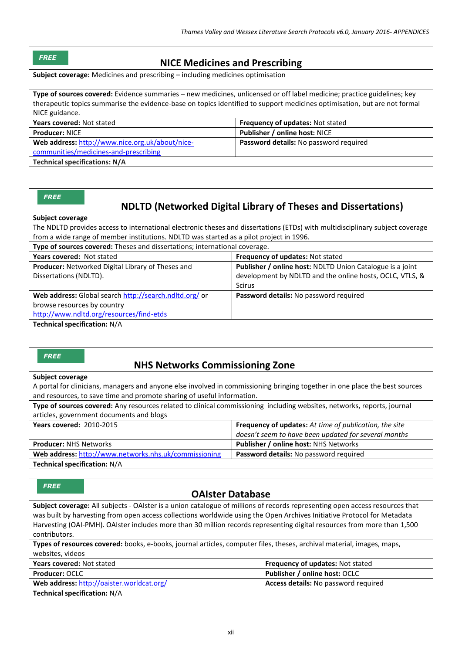#### *FREE*

## **NICE Medicines and Prescribing**

**Subject coverage:** Medicines and prescribing – including medicines optimisation

**Type of sources covered:** Evidence summaries – new medicines, unlicensed or off label medicine; practice guidelines; key therapeutic topics summarise the evidence-base on topics identified to support medicines optimisation, but are not formal NICE guidance.

| <b>Years covered: Not stated</b>                | <b>Frequency of updates: Not stated</b>       |
|-------------------------------------------------|-----------------------------------------------|
| <b>Producer: NICE</b>                           | Publisher / online host: NICE                 |
| Web address: http://www.nice.org.uk/about/nice- | <b>Password details:</b> No password required |
| communities/medicines-and-prescribing           |                                               |
| Technical specifications: N/A                   |                                               |

#### *FREE*

# **NDLTD (Networked Digital Library of Theses and Dissertations)**

#### **Subject coverage**

The NDLTD provides access to international electronic theses and dissertations (ETDs) with multidisciplinary subject coverage from a wide range of member institutions. NDLTD was started as a pilot project in 1996.

|  | Type of sources covered: Theses and dissertations; international coverage. |  |  |
|--|----------------------------------------------------------------------------|--|--|
|--|----------------------------------------------------------------------------|--|--|

| Years covered: Not stated                              | Frequency of updates: Not stated                          |
|--------------------------------------------------------|-----------------------------------------------------------|
| Producer: Networked Digital Library of Theses and      | Publisher / online host: NDLTD Union Catalogue is a joint |
| Dissertations (NDLTD).                                 | development by NDLTD and the online hosts, OCLC, VTLS, &  |
|                                                        | <b>Scirus</b>                                             |
| Web address: Global search http://search.ndltd.org/ or | Password details: No password required                    |
| browse resources by country                            |                                                           |
| http://www.ndltd.org/resources/find-etds               |                                                           |
| <b>Technical specification: N/A</b>                    |                                                           |

#### *FREE*

# **NHS Networks Commissioning Zone**

#### **Subject coverage**

A portal for clinicians, managers and anyone else involved in commissioning bringing together in one place the best sources and resources, to save time and promote sharing of useful information.

| Type of sources covered: Any resources related to clinical commissioning including websites, networks, reports, journal |                                                               |  |
|-------------------------------------------------------------------------------------------------------------------------|---------------------------------------------------------------|--|
| articles, government documents and blogs                                                                                |                                                               |  |
| <b>Years covered: 2010-2015</b>                                                                                         | <b>Frequency of updates:</b> At time of publication, the site |  |
|                                                                                                                         | doesn't seem to have been updated for several months          |  |
| <b>Producer: NHS Networks</b>                                                                                           | <b>Publisher / online host: NHS Networks</b>                  |  |
| Web address: http://www.networks.nhs.uk/commissioning                                                                   | Password details: No password required                        |  |

#### **Technical specification:** N/A

#### *FREE*

## **OAIster Database**

**Subject coverage:** All subjects - OAIster is a union catalogue of millions of records representing open access resources that was built by harvesting from open access collections worldwide using the Open Archives Initiative Protocol for Metadata Harvesting (OAI-PMH). OAIster includes more than 30 million records representing digital resources from more than 1,500 contributors.

| Types of resources covered: books, e-books, journal articles, computer files, theses, archival material, images, maps, |  |  |  |  |
|------------------------------------------------------------------------------------------------------------------------|--|--|--|--|
| websites, videos                                                                                                       |  |  |  |  |

| <b>Years covered: Not stated</b>          | <b>Frequency of updates: Not stated</b>     |
|-------------------------------------------|---------------------------------------------|
| <b>Producer: OCLC</b>                     | <b>Publisher / online host: OCLC</b>        |
| Web address: http://oaister.worldcat.org/ | <b>Access details:</b> No password required |
| <b>Technical specification: N/A</b>       |                                             |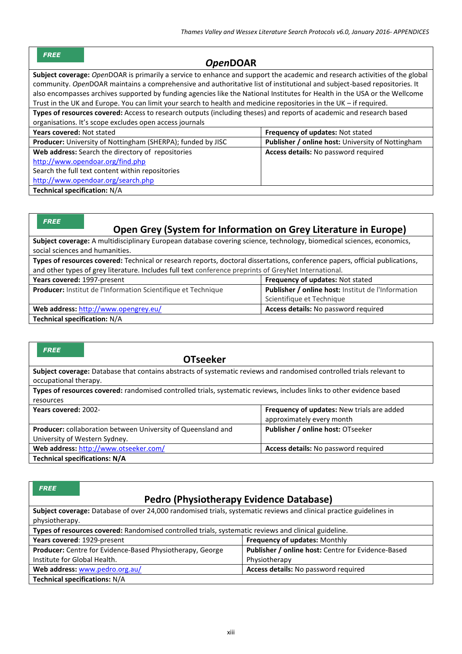| <b>FREE</b> |  |  |
|-------------|--|--|

# *Open***DOAR**

**Subject coverage:** *Open*DOAR is primarily a service to enhance and support the academic and research activities of the global community. *Open*DOAR maintains a comprehensive and authoritative list of institutional and subject-based repositories. It also encompasses archives supported by funding agencies like the National Institutes for Health in the USA or the Wellcome Trust in the UK and Europe. You can limit your search to health and medicine repositories in the UK – if required.

**Types of resources covered:** Access to research outputs (including theses) and reports of academic and research based organisations. It's scope excludes open access journals

| Years covered: Not stated                                   | Frequency of updates: Not stated                  |
|-------------------------------------------------------------|---------------------------------------------------|
| Producer: University of Nottingham (SHERPA); funded by JISC | Publisher / online host: University of Nottingham |
| Web address: Search the directory of repositories           | Access details: No password required              |
| http://www.opendoar.org/find.php                            |                                                   |
| Search the full text content within repositories            |                                                   |
| http://www.opendoar.org/search.php                          |                                                   |
| <b>Technical specification: N/A</b>                         |                                                   |

| <b>FREE</b><br>Open Grey (System for Information on Grey Literature in Europe)                                               |                                                    |  |
|------------------------------------------------------------------------------------------------------------------------------|----------------------------------------------------|--|
| Subject coverage: A multidisciplinary European database covering science, technology, biomedical sciences, economics,        |                                                    |  |
| social sciences and humanities.                                                                                              |                                                    |  |
| Types of resources covered: Technical or research reports, doctoral dissertations, conference papers, official publications, |                                                    |  |
| and other types of grey literature. Includes full text conference preprints of GreyNet International.                        |                                                    |  |
| Frequency of updates: Not stated<br>Years covered: 1997-present                                                              |                                                    |  |
| Producer: Institut de l'Information Scientifique et Technique                                                                | Publisher / online host: Institut de l'Information |  |
|                                                                                                                              | Scientifique et Technique                          |  |
| Web address: http://www.opengrey.eu/                                                                                         | Access details: No password required               |  |

**Technical specification:** N/A

| <b>FREE</b><br><b>OTseeker</b>                                                                                        |                                            |  |
|-----------------------------------------------------------------------------------------------------------------------|--------------------------------------------|--|
|                                                                                                                       |                                            |  |
| Subject coverage: Database that contains abstracts of systematic reviews and randomised controlled trials relevant to |                                            |  |
| occupational therapy.                                                                                                 |                                            |  |
| Types of resources covered: randomised controlled trials, systematic reviews, includes links to other evidence based  |                                            |  |
| resources                                                                                                             |                                            |  |
| Years covered: 2002-                                                                                                  | Frequency of updates: New trials are added |  |
|                                                                                                                       | approximately every month                  |  |
| <b>Producer:</b> collaboration between University of Queensland and                                                   | Publisher / online host: OTseeker          |  |
| University of Western Sydney.                                                                                         |                                            |  |
| Web address: http://www.otseeker.com/                                                                                 | Access details: No password required       |  |
| <b>Technical specifications: N/A</b>                                                                                  |                                            |  |

| <b>FREE</b>                                                                                                         |                                                           |                                                    |
|---------------------------------------------------------------------------------------------------------------------|-----------------------------------------------------------|----------------------------------------------------|
| <b>Pedro (Physiotherapy Evidence Database)</b>                                                                      |                                                           |                                                    |
| Subject coverage: Database of over 24,000 randomised trials, systematic reviews and clinical practice guidelines in |                                                           |                                                    |
| physiotherapy.                                                                                                      |                                                           |                                                    |
| Types of resources covered: Randomised controlled trials, systematic reviews and clinical guideline.                |                                                           |                                                    |
| Frequency of updates: Monthly<br>Years covered: 1929-present                                                        |                                                           |                                                    |
|                                                                                                                     | Producer: Centre for Evidence-Based Physiotherapy, George | Publisher / online host: Centre for Evidence-Based |
| Institute for Global Health.                                                                                        |                                                           | Physiotherapy                                      |
|                                                                                                                     | Web address: www.pedro.org.au/                            | Access details: No password required               |
| <b>Technical specifications: N/A</b>                                                                                |                                                           |                                                    |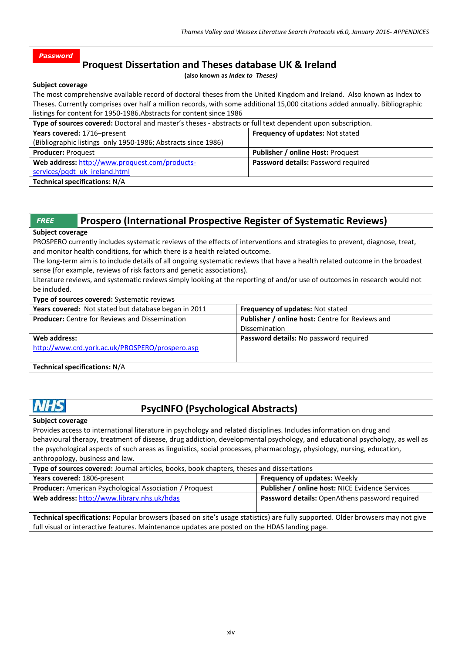# **Proquest Dissertation and Theses database UK & Ireland**

**(also known as** *Index to Theses)*

**Subject coverage**

*Password*

The most comprehensive available record of doctoral theses from the United Kingdom and Ireland. Also known as Index to Theses. Currently comprises over half a million records, with some additional 15,000 citations added annually. Bibliographic listings for content for 1950-1986.Abstracts for content since 1986

| Type of sources covered: Doctoral and master's theses - abstracts or full text dependent upon subscription. |                                         |  |
|-------------------------------------------------------------------------------------------------------------|-----------------------------------------|--|
| Years covered: 1716-present                                                                                 | <b>Frequency of updates: Not stated</b> |  |
| (Bibliographic listings only 1950-1986; Abstracts since 1986)                                               |                                         |  |
| <b>Producer: Proquest</b>                                                                                   | Publisher / online Host: Proquest       |  |
| Web address: http://www.proquest.com/products-                                                              | Password details: Password required     |  |
| services/pgdt uk ireland.html                                                                               |                                         |  |
| <b>Technical specifications: N/A</b>                                                                        |                                         |  |

| Prospero (International Prospective Register of Systematic Reviews)<br><b>FREE</b>                                                                                                                        |                                                       |                                                                                                                            |
|-----------------------------------------------------------------------------------------------------------------------------------------------------------------------------------------------------------|-------------------------------------------------------|----------------------------------------------------------------------------------------------------------------------------|
| <b>Subject coverage</b>                                                                                                                                                                                   |                                                       |                                                                                                                            |
| PROSPERO currently includes systematic reviews of the effects of interventions and strategies to prevent, diagnose, treat,<br>and monitor health conditions, for which there is a health related outcome. |                                                       |                                                                                                                            |
| The long-term aim is to include details of all ongoing systematic reviews that have a health related outcome in the broadest<br>sense (for example, reviews of risk factors and genetic associations).    |                                                       |                                                                                                                            |
|                                                                                                                                                                                                           |                                                       | Literature reviews, and systematic reviews simply looking at the reporting of and/or use of outcomes in research would not |
| be included.                                                                                                                                                                                              |                                                       |                                                                                                                            |
|                                                                                                                                                                                                           | <b>Type of sources covered:</b> Systematic reviews    |                                                                                                                            |
|                                                                                                                                                                                                           | Years covered: Not stated but database began in 2011  | <b>Frequency of updates: Not stated</b>                                                                                    |
|                                                                                                                                                                                                           | <b>Producer:</b> Centre for Reviews and Dissemination | Publisher / online host: Centre for Reviews and                                                                            |
|                                                                                                                                                                                                           |                                                       | Dissemination                                                                                                              |
| Web address:                                                                                                                                                                                              |                                                       | Password details: No password required                                                                                     |
|                                                                                                                                                                                                           | http://www.crd.york.ac.uk/PROSPERO/prospero.asp       |                                                                                                                            |
|                                                                                                                                                                                                           | Technical specifications: N/A                         |                                                                                                                            |

# HS

# **PsycINFO (Psychological Abstracts)**

**Subject coverage**

Provides access to international literature in psychology and related disciplines. Includes information on drug and behavioural therapy, treatment of disease, drug addiction, developmental psychology, and educational psychology, as well as the psychological aspects of such areas as linguistics, social processes, pharmacology, physiology, nursing, education, anthropology, business and law.

| Type of sources covered: Journal articles, books, book chapters, theses and dissertations |                                                        |  |
|-------------------------------------------------------------------------------------------|--------------------------------------------------------|--|
| <b>Frequency of updates: Weekly</b><br>Years covered: 1806-present                        |                                                        |  |
| <b>Producer:</b> American Psychological Association / Proquest                            | <b>Publisher / online host: NICE Evidence Services</b> |  |
| Web address: http://www.library.nhs.uk/hdas                                               | <b>Password details:</b> OpenAthens password required  |  |
|                                                                                           |                                                        |  |

**Technical specifications:** Popular browsers (based on site's usage statistics) are fully supported. Older browsers may not give full visual or interactive features. Maintenance updates are posted on the HDAS landing page.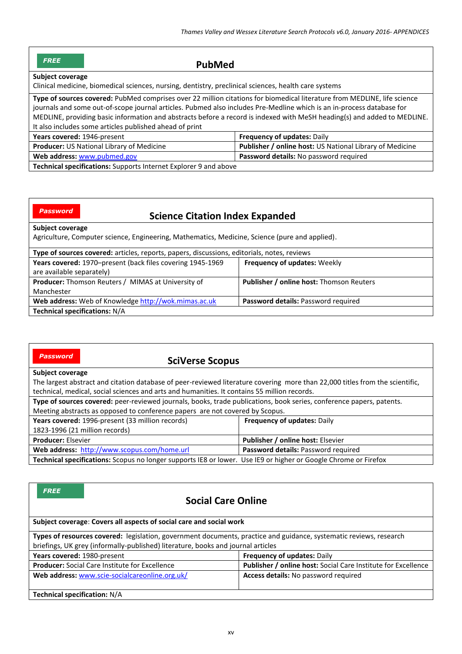| <b>FREE</b><br><b>PubMed</b>                                                                                                                                                                                                                                                                                                                                                                                                             |                                                          |  |
|------------------------------------------------------------------------------------------------------------------------------------------------------------------------------------------------------------------------------------------------------------------------------------------------------------------------------------------------------------------------------------------------------------------------------------------|----------------------------------------------------------|--|
| <b>Subject coverage</b>                                                                                                                                                                                                                                                                                                                                                                                                                  |                                                          |  |
| Clinical medicine, biomedical sciences, nursing, dentistry, preclinical sciences, health care systems                                                                                                                                                                                                                                                                                                                                    |                                                          |  |
| Type of sources covered: PubMed comprises over 22 million citations for biomedical literature from MEDLINE, life science<br>journals and some out-of-scope journal articles. Pubmed also includes Pre-Medline which is an in-process database for<br>MEDLINE, providing basic information and abstracts before a record is indexed with MeSH heading(s) and added to MEDLINE.<br>It also includes some articles published ahead of print |                                                          |  |
| Years covered: 1946-present                                                                                                                                                                                                                                                                                                                                                                                                              | <b>Frequency of updates: Daily</b>                       |  |
| Producer: US National Library of Medicine                                                                                                                                                                                                                                                                                                                                                                                                | Publisher / online host: US National Library of Medicine |  |
| Web address: www.pubmed.gov                                                                                                                                                                                                                                                                                                                                                                                                              | Password details: No password required                   |  |
| Technical specifications: Supports Internet Explorer 9 and above                                                                                                                                                                                                                                                                                                                                                                         |                                                          |  |

*Password*

# **Science Citation Index Expanded**

#### **Subject coverage**

Agriculture, Computer science, Engineering, Mathematics, Medicine, Science (pure and applied).

| Type of sources covered: articles, reports, papers, discussions, editorials, notes, reviews |                                                 |  |
|---------------------------------------------------------------------------------------------|-------------------------------------------------|--|
| Years covered: 1970–present (back files covering 1945-1969                                  | <b>Frequency of updates: Weekly</b>             |  |
| are available separately)                                                                   |                                                 |  |
| <b>Producer:</b> Thomson Reuters / MIMAS at University of                                   | <b>Publisher / online host: Thomson Reuters</b> |  |
| Manchester                                                                                  |                                                 |  |
| Web address: Web of Knowledge http://wok.mimas.ac.uk                                        | <b>Password details: Password required</b>      |  |
| <b>Technical specifications: N/A</b>                                                        |                                                 |  |

| <b>Password</b><br><b>SciVerse Scopus</b>                                                                                                                                                                                    |                                          |  |
|------------------------------------------------------------------------------------------------------------------------------------------------------------------------------------------------------------------------------|------------------------------------------|--|
| Subject coverage                                                                                                                                                                                                             |                                          |  |
| The largest abstract and citation database of peer-reviewed literature covering more than 22,000 titles from the scientific,<br>technical, medical, social sciences and arts and humanities. It contains 55 million records. |                                          |  |
| Type of sources covered: peer-reviewed journals, books, trade publications, book series, conference papers, patents.                                                                                                         |                                          |  |
| Meeting abstracts as opposed to conference papers are not covered by Scopus.                                                                                                                                                 |                                          |  |
| Years covered: 1996-present (33 million records)                                                                                                                                                                             | <b>Frequency of updates: Daily</b>       |  |
| 1823-1996 (21 million records)                                                                                                                                                                                               |                                          |  |
| <b>Producer: Elsevier</b>                                                                                                                                                                                                    | <b>Publisher / online host: Elsevier</b> |  |
| Web address: http://www.scopus.com/home.url                                                                                                                                                                                  | Password details: Password required      |  |
| Technical specifications: Scopus no longer supports IE8 or lower. Use IE9 or higher or Google Chrome or Firefox                                                                                                              |                                          |  |

| <b>FREE</b><br><b>Social Care Online</b>                                                                           |                                                               |  |
|--------------------------------------------------------------------------------------------------------------------|---------------------------------------------------------------|--|
| Subject coverage: Covers all aspects of social care and social work                                                |                                                               |  |
| Types of resources covered: legislation, government documents, practice and guidance, systematic reviews, research |                                                               |  |
| briefings, UK grey (informally-published) literature, books and journal articles                                   |                                                               |  |
| Years covered: 1980-present                                                                                        | <b>Frequency of updates: Daily</b>                            |  |
| <b>Producer:</b> Social Care Institute for Excellence                                                              | Publisher / online host: Social Care Institute for Excellence |  |
| Web address: www.scie-socialcareonline.org.uk/                                                                     | Access details: No password required                          |  |
| <b>Technical specification: N/A</b>                                                                                |                                                               |  |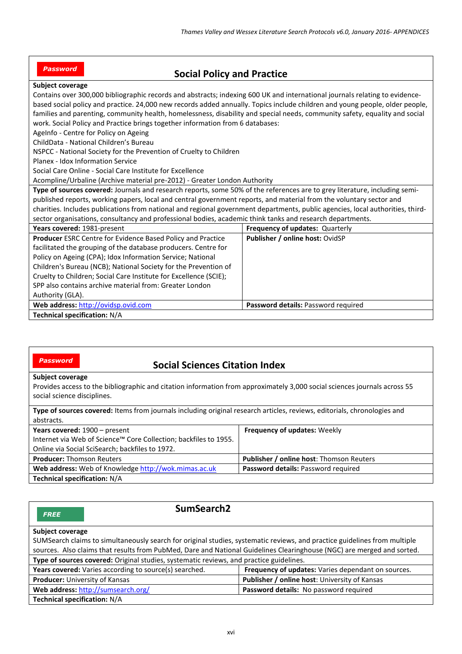| <b>Password</b> | <b>Social Policy and Practice</b> |  |
|-----------------|-----------------------------------|--|
|-----------------|-----------------------------------|--|

## **Subject coverage**

| <b>SUDIELL LOVETARE</b>                                                                                                        |                                     |  |
|--------------------------------------------------------------------------------------------------------------------------------|-------------------------------------|--|
| Contains over 300,000 bibliographic records and abstracts; indexing 600 UK and international journals relating to evidence-    |                                     |  |
| based social policy and practice. 24,000 new records added annually. Topics include children and young people, older people,   |                                     |  |
| families and parenting, community health, homelessness, disability and special needs, community safety, equality and social    |                                     |  |
| work. Social Policy and Practice brings together information from 6 databases:                                                 |                                     |  |
| AgeInfo - Centre for Policy on Ageing                                                                                          |                                     |  |
| ChildData - National Children's Bureau                                                                                         |                                     |  |
| NSPCC - National Society for the Prevention of Cruelty to Children                                                             |                                     |  |
| Planex - Idox Information Service                                                                                              |                                     |  |
| Social Care Online - Social Care Institute for Excellence                                                                      |                                     |  |
| Acompline/Urbaline (Archive material pre-2012) - Greater London Authority                                                      |                                     |  |
| Type of sources covered: Journals and research reports, some 50% of the references are to grey literature, including semi-     |                                     |  |
| published reports, working papers, local and central government reports, and material from the voluntary sector and            |                                     |  |
| charities. Includes publications from national and regional government departments, public agencies, local authorities, third- |                                     |  |
| sector organisations, consultancy and professional bodies, academic think tanks and research departments.                      |                                     |  |
| Years covered: 1981-present                                                                                                    | Frequency of updates: Quarterly     |  |
| Producer ESRC Centre for Evidence Based Policy and Practice                                                                    | Publisher / online host: OvidSP     |  |
| facilitated the grouping of the database producers. Centre for                                                                 |                                     |  |
| Policy on Ageing (CPA); Idox Information Service; National                                                                     |                                     |  |
| Children's Bureau (NCB); National Society for the Prevention of                                                                |                                     |  |
| Cruelty to Children; Social Care Institute for Excellence (SCIE);                                                              |                                     |  |
| SPP also contains archive material from: Greater London                                                                        |                                     |  |
| Authority (GLA).                                                                                                               |                                     |  |
| Web address: http://ovidsp.ovid.com                                                                                            | Password details: Password required |  |
| Technical specification: N/A                                                                                                   |                                     |  |

#### *Password*

# **Social Sciences Citation Index**

#### **Subject coverage**

Provides access to the bibliographic and citation information from approximately 3,000 social sciences journals across 55 social science disciplines.

| Type of sources covered: Items from journals including original research articles, reviews, editorials, chronologies and |                                                 |  |
|--------------------------------------------------------------------------------------------------------------------------|-------------------------------------------------|--|
| abstracts.                                                                                                               |                                                 |  |
| Years covered: 1900 - present                                                                                            | <b>Frequency of updates: Weekly</b>             |  |
| Internet via Web of Science™ Core Collection; backfiles to 1955.                                                         |                                                 |  |
| Online via Social SciSearch; backfiles to 1972.                                                                          |                                                 |  |
| <b>Producer: Thomson Reuters</b>                                                                                         | <b>Publisher / online host:</b> Thomson Reuters |  |
| Web address: Web of Knowledge http://wok.mimas.ac.uk                                                                     | Password details: Password required             |  |
| Technical specification: N/A                                                                                             |                                                 |  |

| SumSearch <sub>2</sub><br><b>FREE</b>                                                                                     |                                                      |  |
|---------------------------------------------------------------------------------------------------------------------------|------------------------------------------------------|--|
| Subject coverage                                                                                                          |                                                      |  |
| SUMSearch claims to simultaneously search for original studies, systematic reviews, and practice guidelines from multiple |                                                      |  |
| sources. Also claims that results from PubMed, Dare and National Guidelines Clearinghouse (NGC) are merged and sorted.    |                                                      |  |
| Type of sources covered: Original studies, systematic reviews, and practice guidelines.                                   |                                                      |  |
| Years covered: Varies according to source(s) searched.                                                                    | Frequency of updates: Varies dependant on sources.   |  |
| Producer: University of Kansas                                                                                            | <b>Publisher / online host: University of Kansas</b> |  |
| Web address: http://sumsearch.org/                                                                                        | Password details: No password required               |  |
| <b>Technical specification: N/A</b>                                                                                       |                                                      |  |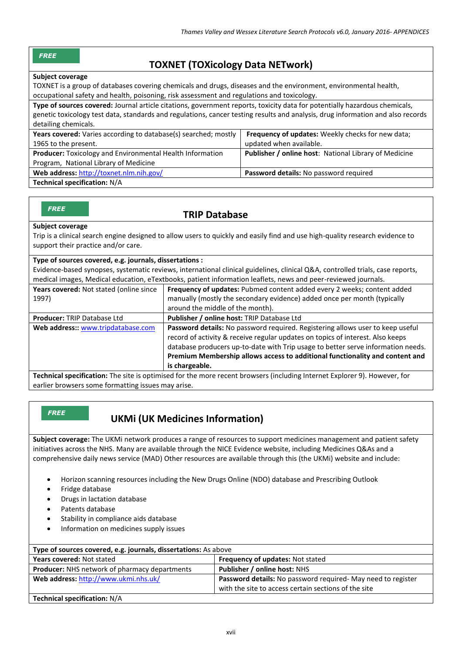#### *FREE*

# **TOXNET (TOXicology Data NETwork)**

#### **Subject coverage**

TOXNET is a group of databases covering chemicals and drugs, diseases and the environment, environmental health, occupational safety and health, poisoning, risk assessment and regulations and toxicology.

**Type of sources covered:** Journal article citations, government reports, toxicity data for potentially hazardous chemicals, genetic toxicology test data, standards and regulations, cancer testing results and analysis, drug information and also records detailing chemicals. Years covered: Varies according to database(s) searched; mostly 1965 to the present. **Frequency of updates:** Weekly checks for new data; updated when available. **Producer:** [Toxicology and Environmental Health Information](http://sis.nlm.nih.gov/enviro.html)  [Program,](http://sis.nlm.nih.gov/enviro.html) National Library of Medicine **Publisher / online host**: National Library of Medicine **Web address:** <http://toxnet.nlm.nih.gov/> **Password details:** No password required

**Technical specification:** N/A

#### *FREE*

## **TRIP Database**

#### **Subject coverage**

Trip is a clinical search engine designed to allow users to quickly and easily find and use high-quality research evidence to support their practice and/or care.

| Type of sources covered, e.g. journals, dissertations : |  |
|---------------------------------------------------------|--|
|---------------------------------------------------------|--|

Evidence-based synopses, systematic reviews, international clinical guidelines, clinical Q&A, controlled trials, case reports, medical images, Medical education, eTextbooks, patient information leaflets, news and peer-reviewed journals.

| Years covered: Not stated (online since<br>1997) | Frequency of updates: Pubmed content added every 2 weeks; content added<br>manually (mostly the secondary evidence) added once per month (typically                                                                                                                                                                                         |
|--------------------------------------------------|---------------------------------------------------------------------------------------------------------------------------------------------------------------------------------------------------------------------------------------------------------------------------------------------------------------------------------------------|
|                                                  | around the middle of the month).                                                                                                                                                                                                                                                                                                            |
| Producer: TRIP Database Ltd                      | Publisher / online host: TRIP Database Ltd                                                                                                                                                                                                                                                                                                  |
| Web address:: www.tripdatabase.com               | <b>Password details:</b> No password required. Registering allows user to keep useful<br>record of activity & receive regular updates on topics of interest. Also keeps<br>database producers up-to-date with Trip usage to better serve information needs.<br>Premium Membership allows access to additional functionality and content and |
|                                                  | is chargeable.                                                                                                                                                                                                                                                                                                                              |

**Technical specification:** The site is optimised for the more recent browsers (including Internet Explorer 9). However, for earlier browsers some formatting issues may arise.

*FREE*

# **UKMi (UK Medicines Information)**

**Subject coverage:** The UKMi network produces a range of resources to support medicines management and patient safety initiatives across the NHS. Many are available through th[e NICE Evidence](http://www.evidence.nhs.uk/) website, including Medicines Q&As and a comprehensive daily news service (MAD) Other resources are available through this (the UKMi) website and include:

- Horizon scanning resources including the New Drugs Online (NDO) database and Prescribing Outlook
- Fridge database
- Drugs in lactation database
- Patents database
- Stability in compliance aids database
- Information on medicines supply issues

| Type of sources covered, e.g. journals, dissertations: As above |                                                             |  |
|-----------------------------------------------------------------|-------------------------------------------------------------|--|
| <b>Years covered: Not stated</b>                                | <b>Frequency of updates: Not stated</b>                     |  |
| <b>Producer:</b> NHS network of pharmacy departments            | <b>Publisher / online host: NHS</b>                         |  |
| Web address: http://www.ukmi.nhs.uk/                            | Password details: No password required-May need to register |  |
|                                                                 | with the site to access certain sections of the site        |  |
| Technical specification: N/A                                    |                                                             |  |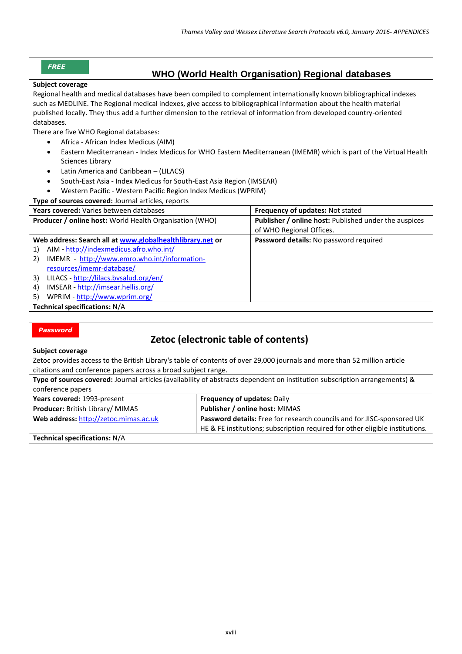#### *FREE*

## **WHO (World Health Organisation) Regional databases**

#### **Subject coverage**

Regional health and medical databases have been compiled to complement internationally known bibliographical indexes such as MEDLINE. The Regional medical indexes, give access to bibliographical information about the health material published locally. They thus add a further dimension to the retrieval of information from developed country-oriented databases.

There are five WHO Regional databases:

- Africa African Index Medicus (AIM)
- Eastern Mediterranean Index Medicus for WHO Eastern Mediterranean (IMEMR) which is part of the Virtual Health Sciences Library
- Latin America and Caribbean (LILACS)
- South-East Asia Index Medicus for South-East Asia Region (IMSEAR)
- Western Pacific Western Pacific Region Index Medicus (WPRIM)

| Type of sources covered: Journal articles, reports             |                                                              |
|----------------------------------------------------------------|--------------------------------------------------------------|
| Years covered: Varies between databases                        | Frequency of updates: Not stated                             |
| <b>Producer / online host:</b> World Health Organisation (WHO) | <b>Publisher / online host: Published under the auspices</b> |
|                                                                | of WHO Regional Offices.                                     |
| Web address: Search all at www.globalhealthlibrary.net or      | Password details: No password required                       |
| AIM - http://indexmedicus.afro.who.int/<br>1)                  |                                                              |
| IMEMR - http://www.emro.who.int/information-<br>2)             |                                                              |
| resources/imemr-database/                                      |                                                              |
| LILACS - http://lilacs.bvsalud.org/en/<br>3)                   |                                                              |
| IMSEAR - http://imsear.hellis.org/<br>4)                       |                                                              |
| WPRIM - http://www.wprim.org/<br>5)                            |                                                              |
| <b>Technical specifications: N/A</b>                           |                                                              |

#### *Password*

# **Zetoc (electronic table of contents)**

**Subject coverage**

Zetoc provides access to the British Library's table of contents of over 29,000 journals and more than 52 million article citations and conference papers across a broad subject range.

| Type of sources covered: Journal articles (availability of abstracts dependent on institution subscription arrangements) & |                                    |  |
|----------------------------------------------------------------------------------------------------------------------------|------------------------------------|--|
| conference papers                                                                                                          |                                    |  |
| Years covered: 1993-present                                                                                                | <b>Frequency of updates: Daily</b> |  |
| $D$ ueduseu: Dritich Libronu (ALIAAC                                                                                       | Dublisher Lealing heat, MUMAC      |  |

| <b>Producer: British Library/ MIMAS</b> | <b>Publisher / online host: MIMAS</b>                                        |
|-----------------------------------------|------------------------------------------------------------------------------|
| Web address: http://zetoc.mimas.ac.uk   | Password details: Free for research councils and for JISC-sponsored UK       |
|                                         | HE & FE institutions; subscription required for other eligible institutions. |
| Tashnical constitutions NIA             |                                                                              |

**Technical specifications:** N/A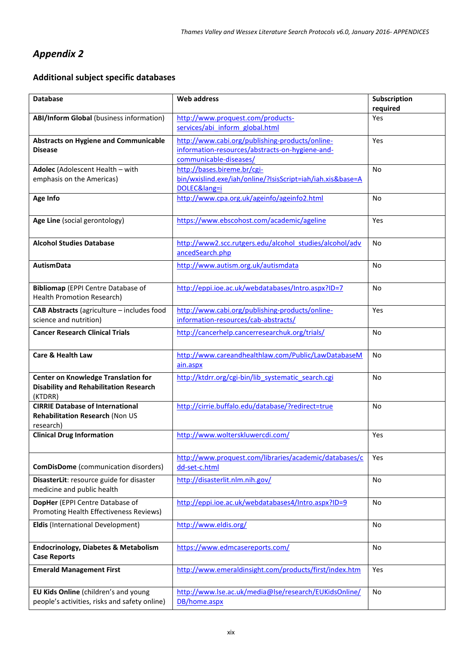# *Appendix 2*

# **Additional subject specific databases**

| <b>Database</b>                                                        | <b>Web address</b>                                         | Subscription |
|------------------------------------------------------------------------|------------------------------------------------------------|--------------|
|                                                                        |                                                            | required     |
| <b>ABI/Inform Global (business information)</b>                        | http://www.proquest.com/products-                          | Yes          |
|                                                                        | services/abi inform global.html                            |              |
| <b>Abstracts on Hygiene and Communicable</b>                           | http://www.cabi.org/publishing-products/online-            | Yes          |
| <b>Disease</b>                                                         | information-resources/abstracts-on-hygiene-and-            |              |
|                                                                        | communicable-diseases/                                     |              |
| Adolec (Adolescent Health - with                                       | http://bases.bireme.br/cgi-                                | <b>No</b>    |
| emphasis on the Americas)                                              | bin/wxislind.exe/iah/online/?IsisScript=iah/iah.xis&base=A |              |
|                                                                        | DOLEC⟨=i                                                   |              |
| Age Info                                                               | http://www.cpa.org.uk/ageinfo/ageinfo2.html                | No           |
|                                                                        |                                                            |              |
| Age Line (social gerontology)                                          | https://www.ebscohost.com/academic/ageline                 | Yes          |
|                                                                        |                                                            |              |
|                                                                        |                                                            |              |
| <b>Alcohol Studies Database</b>                                        | http://www2.scc.rutgers.edu/alcohol studies/alcohol/adv    | No           |
|                                                                        | ancedSearch.php                                            |              |
| <b>AutismData</b>                                                      | http://www.autism.org.uk/autismdata                        | No           |
|                                                                        |                                                            |              |
| <b>Bibliomap</b> (EPPI Centre Database of                              | http://eppi.ioe.ac.uk/webdatabases/Intro.aspx?ID=7         | No           |
| <b>Health Promotion Research)</b>                                      |                                                            |              |
|                                                                        |                                                            |              |
| CAB Abstracts (agriculture - includes food                             | http://www.cabi.org/publishing-products/online-            | Yes          |
| science and nutrition)                                                 | information-resources/cab-abstracts/                       |              |
| <b>Cancer Research Clinical Trials</b>                                 | http://cancerhelp.cancerresearchuk.org/trials/             | No           |
|                                                                        |                                                            |              |
| <b>Care &amp; Health Law</b>                                           |                                                            |              |
|                                                                        | http://www.careandhealthlaw.com/Public/LawDatabaseM        | <b>No</b>    |
|                                                                        | ain.aspx                                                   |              |
| <b>Center on Knowledge Translation for</b>                             | http://ktdrr.org/cgi-bin/lib systematic search.cgi         | No           |
| <b>Disability and Rehabilitation Research</b>                          |                                                            |              |
| (KTDRR)                                                                |                                                            |              |
| <b>CIRRIE Database of International</b>                                | http://cirrie.buffalo.edu/database/?redirect=true          | No           |
| Rehabilitation Research (Non US                                        |                                                            |              |
| research)                                                              |                                                            |              |
| <b>Clinical Drug Information</b>                                       | http://www.wolterskluwercdi.com/                           | Yes          |
|                                                                        |                                                            |              |
|                                                                        | http://www.proquest.com/libraries/academic/databases/c     | Yes          |
| <b>ComDisDome</b> (communication disorders)                            | dd-set-c.html                                              |              |
|                                                                        | http://disasterlit.nlm.nih.gov/                            | No           |
| DisasterLit: resource guide for disaster<br>medicine and public health |                                                            |              |
|                                                                        |                                                            |              |
| DopHer (EPPI Centre Database of                                        | http://eppi.ioe.ac.uk/webdatabases4/Intro.aspx?ID=9        | No           |
| Promoting Health Effectiveness Reviews)                                |                                                            |              |
| <b>Eldis (International Development)</b>                               | http://www.eldis.org/                                      | No           |
|                                                                        |                                                            |              |
|                                                                        | https://www.edmcasereports.com/                            | No           |
| <b>Endocrinology, Diabetes &amp; Metabolism</b>                        |                                                            |              |
| <b>Case Reports</b>                                                    |                                                            |              |
| <b>Emerald Management First</b>                                        | http://www.emeraldinsight.com/products/first/index.htm     | Yes          |
|                                                                        |                                                            |              |
| EU Kids Online (children's and young                                   | http://www.lse.ac.uk/media@lse/research/EUKidsOnline/      | No           |
| people's activities, risks and safety online)                          | DB/home.aspx                                               |              |
|                                                                        |                                                            |              |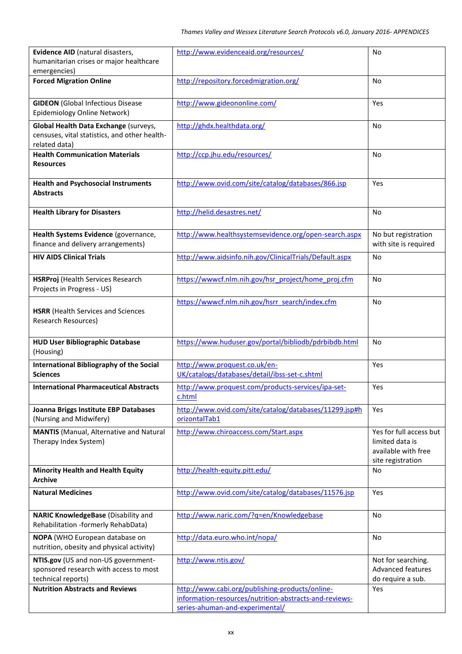| Evidence AID (natural disasters,                                                                        | http://www.evidenceaid.org/resources/                                                                                                        | No                                                                                     |
|---------------------------------------------------------------------------------------------------------|----------------------------------------------------------------------------------------------------------------------------------------------|----------------------------------------------------------------------------------------|
| humanitarian crises or major healthcare                                                                 |                                                                                                                                              |                                                                                        |
| emergencies)                                                                                            |                                                                                                                                              |                                                                                        |
| <b>Forced Migration Online</b>                                                                          | http://repository.forcedmigration.org/                                                                                                       | <b>No</b>                                                                              |
| <b>GIDEON</b> (Global Infectious Disease<br>Epidemiology Online Network)                                | http://www.gideononline.com/                                                                                                                 | Yes                                                                                    |
| Global Health Data Exchange (surveys,<br>censuses, vital statistics, and other health-<br>related data) | http://ghdx.healthdata.org/                                                                                                                  | No                                                                                     |
| <b>Health Communication Materials</b><br><b>Resources</b>                                               | http://ccp.jhu.edu/resources/                                                                                                                | No                                                                                     |
| <b>Health and Psychosocial Instruments</b><br><b>Abstracts</b>                                          | http://www.ovid.com/site/catalog/databases/866.jsp                                                                                           | Yes                                                                                    |
| <b>Health Library for Disasters</b>                                                                     | http://helid.desastres.net/                                                                                                                  | <b>No</b>                                                                              |
| Health Systems Evidence (governance,<br>finance and delivery arrangements)                              | http://www.healthsystemsevidence.org/open-search.aspx                                                                                        | No but registration<br>with site is required                                           |
| <b>HIV AIDS Clinical Trials</b>                                                                         | http://www.aidsinfo.nih.gov/ClinicalTrials/Default.aspx                                                                                      | No                                                                                     |
| <b>HSRProj</b> (Health Services Research<br>Projects in Progress - US)                                  | https://wwwcf.nlm.nih.gov/hsr_project/home_proj.cfm                                                                                          | No                                                                                     |
| <b>HSRR</b> (Health Services and Sciences<br>Research Resources)                                        | https://wwwcf.nlm.nih.gov/hsrr_search/index.cfm                                                                                              | No                                                                                     |
| <b>HUD User Bibliographic Database</b><br>(Housing)                                                     | https://www.huduser.gov/portal/bibliodb/pdrbibdb.html                                                                                        | No                                                                                     |
| International Bibliography of the Social<br><b>Sciences</b>                                             | http://www.proquest.co.uk/en-<br>UK/catalogs/databases/detail/ibss-set-c.shtml                                                               | Yes                                                                                    |
| <b>International Pharmaceutical Abstracts</b>                                                           | http://www.proquest.com/products-services/ipa-set-<br>c.html                                                                                 | Yes                                                                                    |
| Joanna Briggs Institute EBP Databases<br>(Nursing and Midwifery)                                        | http://www.ovid.com/site/catalog/databases/11299.jsp#h<br>orizontalTab1                                                                      | Yes                                                                                    |
| <b>MANTIS</b> (Manual, Alternative and Natural<br>Therapy Index System)                                 | http://www.chiroaccess.com/Start.aspx                                                                                                        | Yes for full access but<br>limited data is<br>available with free<br>site registration |
| <b>Minority Health and Health Equity</b><br><b>Archive</b>                                              | http://health-equity.pitt.edu/                                                                                                               | No                                                                                     |
| <b>Natural Medicines</b>                                                                                | http://www.ovid.com/site/catalog/databases/11576.jsp                                                                                         | Yes                                                                                    |
| NARIC KnowledgeBase (Disability and<br>Rehabilitation -formerly RehabData)                              | http://www.naric.com/?q=en/Knowledgebase                                                                                                     | No                                                                                     |
| NOPA (WHO European database on<br>nutrition, obesity and physical activity)                             | http://data.euro.who.int/nopa/                                                                                                               | No                                                                                     |
| NTIS.gov (US and non-US government-<br>sponsored research with access to most<br>technical reports)     | http://www.ntis.gov/                                                                                                                         | Not for searching.<br><b>Advanced features</b><br>do require a sub.                    |
| <b>Nutrition Abstracts and Reviews</b>                                                                  | http://www.cabi.org/publishing-products/online-<br>information-resources/nutrition-abstracts-and-reviews-<br>series-ahuman-and-experimental/ | Yes                                                                                    |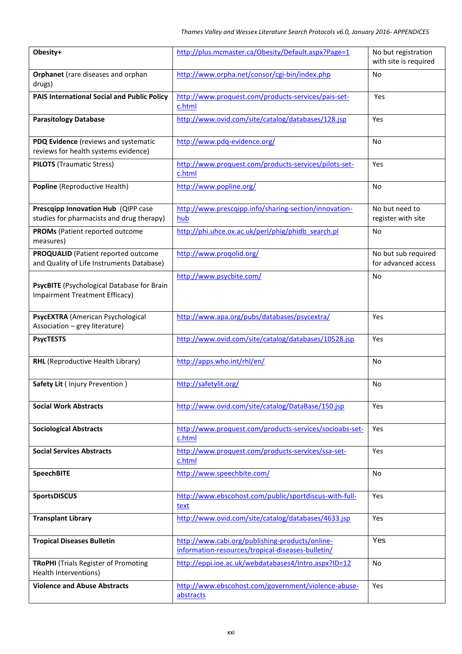| Obesity+                                                                                | http://plus.mcmaster.ca/Obesity/Default.aspx?Page=1                                                  | No but registration<br>with site is required |
|-----------------------------------------------------------------------------------------|------------------------------------------------------------------------------------------------------|----------------------------------------------|
| Orphanet (rare diseases and orphan<br>drugs)                                            | http://www.orpha.net/consor/cgi-bin/index.php                                                        | No                                           |
| <b>PAIS International Social and Public Policy</b>                                      | http://www.proquest.com/products-services/pais-set-<br>c.html                                        | Yes                                          |
| <b>Parasitology Database</b>                                                            | http://www.ovid.com/site/catalog/databases/128.jsp                                                   | Yes                                          |
| PDQ Evidence (reviews and systematic<br>reviews for health systems evidence)            | http://www.pdq-evidence.org/                                                                         | No                                           |
| <b>PILOTS</b> (Traumatic Stress)                                                        | http://www.proquest.com/products-services/pilots-set-<br>c.html                                      | Yes                                          |
| Popline (Reproductive Health)                                                           | http://www.popline.org/                                                                              | No                                           |
| Prescqipp Innovation Hub (QIPP case<br>studies for pharmacists and drug therapy)        | http://www.prescqipp.info/sharing-section/innovation-<br>hub                                         | No but need to<br>register with site         |
| <b>PROMs</b> (Patient reported outcome<br>measures)                                     | http://phi.uhce.ox.ac.uk/perl/phig/phidb search.pl                                                   | No                                           |
| <b>PROQUALID</b> (Patient reported outcome<br>and Quality of Life Instruments Database) | http://www.progolid.org/                                                                             | No but sub required<br>for advanced access   |
| PsycBITE (Psychological Database for Brain<br>Impairment Treatment Efficacy)            | http://www.psycbite.com/                                                                             | No                                           |
| PsycEXTRA (American Psychological<br>Association - grey literature)                     | http://www.apa.org/pubs/databases/psycextra/                                                         | Yes                                          |
| <b>PsycTESTS</b>                                                                        | http://www.ovid.com/site/catalog/databases/10528.jsp                                                 | Yes                                          |
| <b>RHL</b> (Reproductive Health Library)                                                | http://apps.who.int/rhl/en/                                                                          | No                                           |
| Safety Lit (Injury Prevention)                                                          | http://safetylit.org/                                                                                | No                                           |
| <b>Social Work Abstracts</b>                                                            | http://www.ovid.com/site/catalog/DataBase/150.jsp                                                    | Yes                                          |
| <b>Sociological Abstracts</b>                                                           | http://www.proquest.com/products-services/socioabs-set-<br>c.html                                    | Yes                                          |
| <b>Social Services Abstracts</b>                                                        | http://www.proquest.com/products-services/ssa-set-<br>c.html                                         | Yes                                          |
| <b>SpeechBITE</b>                                                                       | http://www.speechbite.com/                                                                           | No                                           |
| <b>SportsDISCUS</b>                                                                     | http://www.ebscohost.com/public/sportdiscus-with-full-<br>text                                       | Yes                                          |
| <b>Transplant Library</b>                                                               | http://www.ovid.com/site/catalog/databases/4633.jsp                                                  | Yes                                          |
| <b>Tropical Diseases Bulletin</b>                                                       | http://www.cabi.org/publishing-products/online-<br>information-resources/tropical-diseases-bulletin/ | Yes                                          |
| <b>TRoPHI</b> (Trials Register of Promoting<br>Health Interventions)                    | http://eppi.ioe.ac.uk/webdatabases4/Intro.aspx?ID=12                                                 | No                                           |
| <b>Violence and Abuse Abstracts</b>                                                     | http://www.ebscohost.com/government/violence-abuse-<br>abstracts                                     | Yes                                          |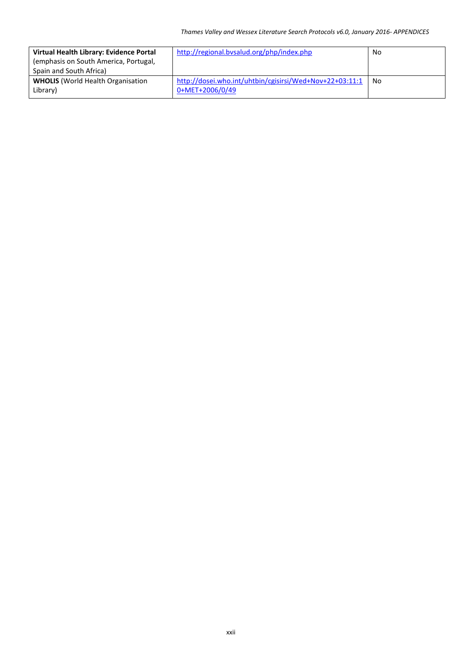| Virtual Health Library: Evidence Portal<br>(emphasis on South America, Portugal,<br>Spain and South Africa) | http://regional.bvsalud.org/php/index.php                                  | No |
|-------------------------------------------------------------------------------------------------------------|----------------------------------------------------------------------------|----|
| <b>WHOLIS</b> (World Health Organisation<br>Library)                                                        | http://dosei.who.int/uhtbin/cgisirsi/Wed+Nov+22+03:11:1<br>0+MET+2006/0/49 | No |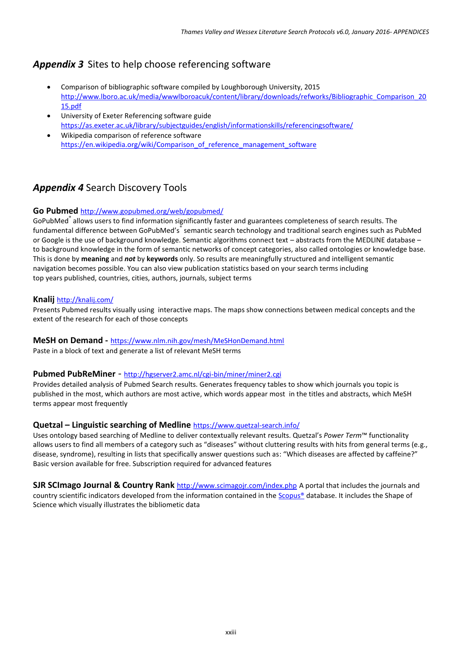# *Appendix 3* Sites to help choose referencing software

- Comparison of bibliographic software compiled by Loughborough University, 2015 [http://www.lboro.ac.uk/media/wwwlboroacuk/content/library/downloads/refworks/Bibliographic\\_Comparison\\_20](http://www.lboro.ac.uk/media/wwwlboroacuk/content/library/downloads/refworks/Bibliographic_Comparison_2015.pdf) [15.pdf](http://www.lboro.ac.uk/media/wwwlboroacuk/content/library/downloads/refworks/Bibliographic_Comparison_2015.pdf)
- University of Exeter Referencing software guide <https://as.exeter.ac.uk/library/subjectguides/english/informationskills/referencingsoftware/>
- Wikipedia comparison of reference software [https://en.wikipedia.org/wiki/Comparison\\_of\\_reference\\_management\\_software](https://en.wikipedia.org/wiki/Comparison_of_reference_management_software)

# *Appendix 4* Search Discovery Tools

#### **Go Pubmed** <http://www.gopubmed.org/web/gopubmed/>

GoPubMed<sup>®</sup> allows users to find information significantly faster and guarantees completeness of search results. The fundamental difference between GoPubMed's<sup>®</sup> semantic search technology and traditional search engines such as PubMed or Google is the use of background knowledge. Semantic algorithms connect text – abstracts from the MEDLINE database – to background knowledge in the form of semantic networks of concept categories, also called ontologies or knowledge base. This is done by **meaning** and *not* by **keywords** only. So results are meaningfully structured and intelligent semantic navigation becomes possible. You can also view publication statistics based on your search terms including top years published, countries, cities, authors, journals, subject terms

#### **Knalij** <http://knalij.com/>

Presents Pubmed results visually using interactive maps. The maps show connections between medical concepts and the extent of the research for each of those concepts

### **MeSH on Demand -** <https://www.nlm.nih.gov/mesh/MeSHonDemand.html>

Paste in a block of text and generate a list of relevant MeSH terms

#### **Pubmed PubReMiner** - <http://hgserver2.amc.nl/cgi-bin/miner/miner2.cgi>

Provides detailed analysis of Pubmed Search results. Generates frequency tables to show which journals you topic is published in the most, which authors are most active, which words appear most in the titles and abstracts, which MeSH terms appear most frequently

#### **Quetzal – Linguistic searching of Medline** <https://www.quetzal-search.info/>

Uses ontology based searching of Medline to deliver contextually relevant results. Quetzal's *Power Term*™ functionality allows users to find all members of a category such as "diseases" without cluttering results with hits from general terms (e.g., disease, syndrome), resulting in lists that specifically answer questions such as: "Which diseases are affected by caffeine?" Basic version available for free. Subscription required for advanced features

**SJR SCImago Journal & Country Rank** <http://www.scimagojr.com/index.php> A portal that includes the journals and country scientific indicators developed from the information contained in the [Scopus®](http://www.scopus.com/) database. It includes the Shape of Science which visually illustrates the bibliometic data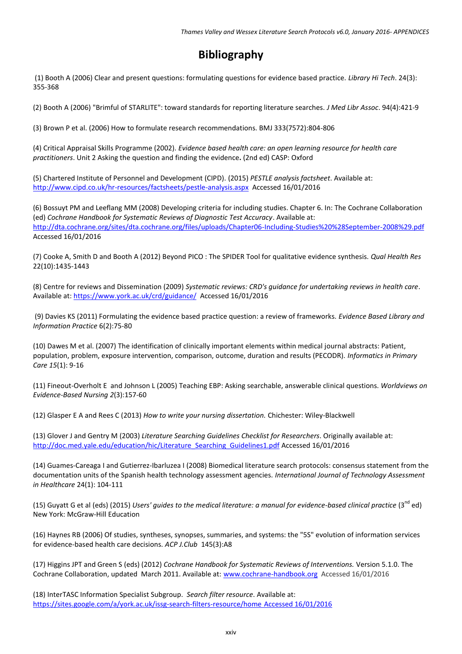# **Bibliography**

(1) Booth A (2006) Clear and present questions: formulating questions for evidence based practice. *Library Hi Tech*. 24(3): 355-368

(2) Booth A (2006) "Brimful of STARLITE": toward standards for reporting literature searches. *J Med Libr Assoc*. 94(4):421-9

(3) Brown P et al. (2006) How to formulate research recommendations. BMJ 333(7572):804-806

(4) Critical Appraisal Skills Programme (2002). *Evidence based health care: an open learning resource for health care practitioners*. Unit 2 Asking the question and finding the evidence**.** (2nd ed) CASP: Oxford

(5) Chartered Institute of Personnel and Development (CIPD). (2015) *[PESTLE analysis factsheet](http://www.cipd.co.uk/subjects/corpstrtgy/general/pestle-analysis.htm)*. Available at: <http://www.cipd.co.uk/hr-resources/factsheets/pestle-analysis.aspx>Accessed 16/01/2016

(6) Bossuyt PM and Leeflang MM (2008) Developing criteria for including studies. Chapter 6. In: The Cochrane Collaboration (ed) *Cochrane Handbook for Systematic Reviews of Diagnostic Test Accuracy*. Available at: <http://dta.cochrane.org/sites/dta.cochrane.org/files/uploads/Chapter06-Including-Studies%20%28September-2008%29.pdf> Accessed 16/01/2016

(7) Cooke A, Smith D and Booth A (2012) Beyond PICO : The SPIDER Tool for qualitative evidence synthesis. *Qual Health Res* 22(10):1435-1443

(8) Centre for reviews and Dissemination (2009) *Systematic reviews: CRD's guidance for undertaking reviews in health care*. Available at: <https://www.york.ac.uk/crd/guidance/>Accessed 16/01/2016

(9) Davies KS (2011) Formulating the evidence based practice question: a review of frameworks. *Evidence Based Library and Information Practice* 6(2):75-80

(10) Dawes M et al. (2007) The identification of clinically important elements within medical journal abstracts: Patient, population, problem, exposure intervention, comparison, outcome, duration and results (PECODR). *Informatics in Primary Care 15*(1): 9-16

(11) Fineout-Overholt E and Johnson L (2005) Teaching EBP: Asking searchable, answerable clinical questions. *Worldviews on Evidence-Based Nursing 2*(3):157-60

(12) Glasper E A and Rees C (2013) *How to write your nursing dissertation.* Chichester: Wiley-Blackwell

(13) Glover J and Gentry M (2003) *Literature Searching Guidelines Checklist for Researchers*. Originally available at: [http://doc.med.yale.edu/education/hic/Literature\\_Searching\\_Guidelines1.pdf](http://doc.med.yale.edu/education/hic/Literature_Searching_Guidelines1.pdf) Accessed 16/01/2016

(14) Guames-Careaga I and Gutierrez-Ibarluzea I (2008) Biomedical literature search protocols: consensus statement from the documentation units of the Spanish health technology assessment agencies*. International Journal of Technology Assessment in Healthcare* 24(1): 104-111

(15) Guyatt G et al (eds) (2015) *Users' guides to the medical literature: a manual for evidence-based clinical practice* (3<sup>nd</sup> ed) New York: McGraw-Hill Education

(16) Haynes RB (2006) Of studies, syntheses, synopses, summaries, and systems: the "5S" evolution of information services for evidence-based health care decisions. *ACP J.Club* 145(3):A8

(17) Higgins JPT and Green S (eds) (2012) *Cochrane Handbook for Systematic Reviews of Interventions.* Version 5.1.0. The Cochrane Collaboration, updated March 2011. Available at: [www.cochrane-handbook.org](http://www.cochrane-handbook.org/) Accessed 16/01/2016

(18) InterTASC Information Specialist Subgroup. *Search filter resource*. Available at: [https://sites.google.com/a/york.ac.uk/issg-search-filters-resource/home](https://sites.google.com/a/york.ac.uk/issg-search-filters-resource/home%20Accessed%2016/01/2016) Accessed 16/01/2016